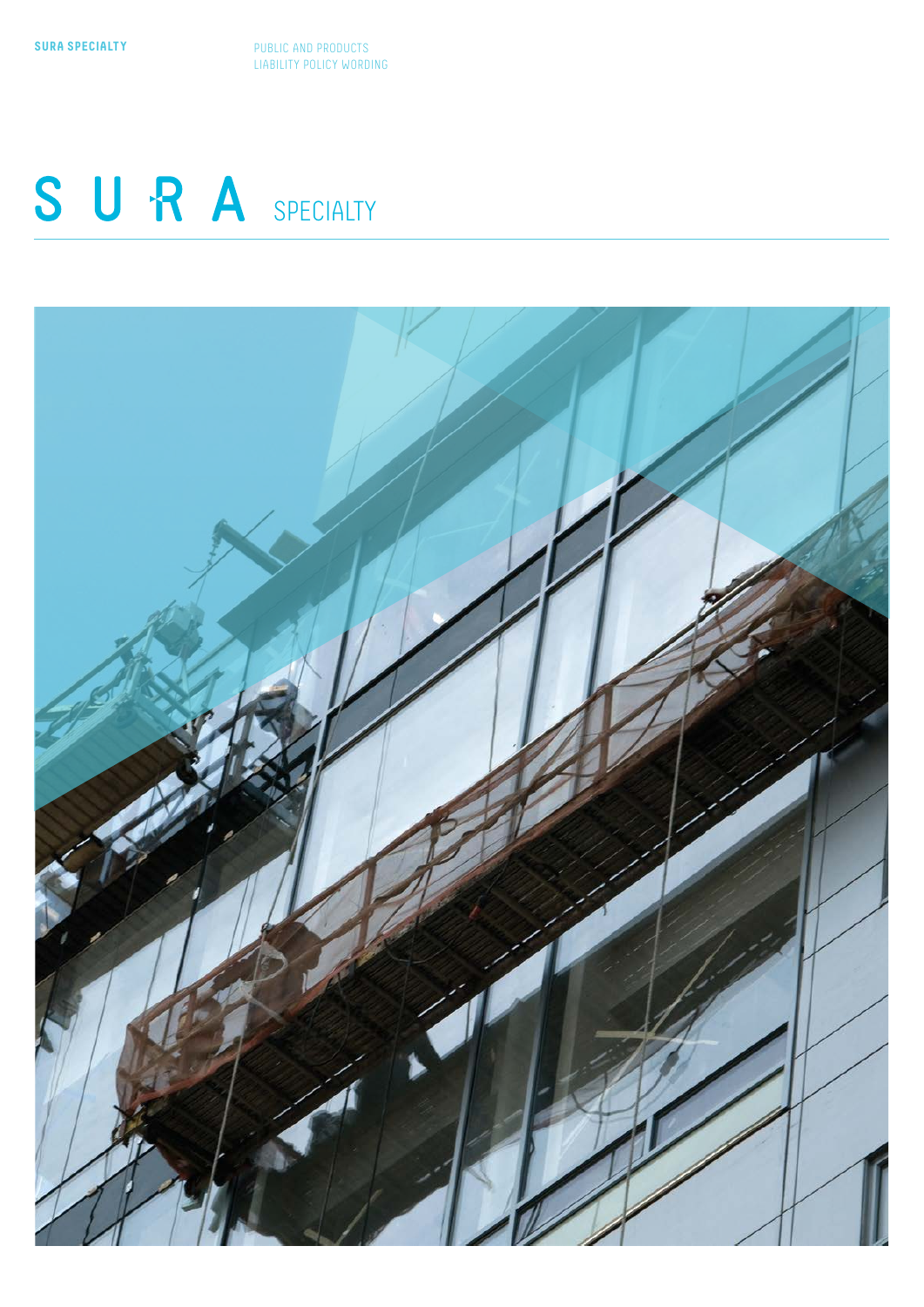**SURA SPECIALTY** PUBLIC AND PRODUCTS LIABILITY POLICY WORDING

# SURA SPECIALTY

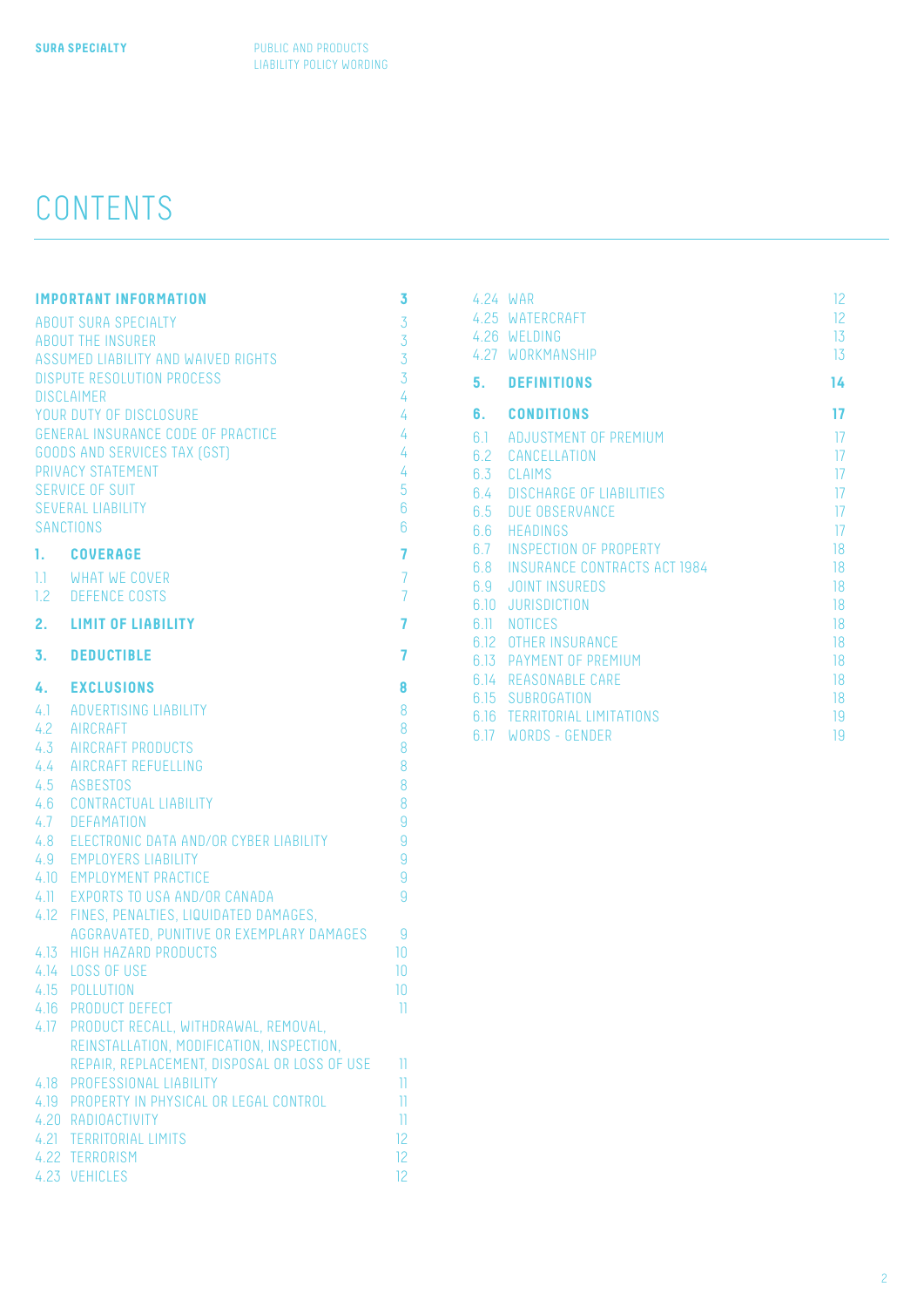# CONTENTS

| <b>IMPORTANT INFORMATION</b><br>3   |                                                                       |                         |  |  |
|-------------------------------------|-----------------------------------------------------------------------|-------------------------|--|--|
|                                     | <b>ABOUT SURA SPECIALTY</b><br><b>ABOUT THE INSURER</b>               | 3<br>3                  |  |  |
| ASSUMED LIABILITY AND WAIVED RIGHTS |                                                                       |                         |  |  |
|                                     | <b>DISPUTE RESOLUTION PROCESS</b>                                     | 3<br>3                  |  |  |
| <b>DISCLAIMER</b><br>4              |                                                                       |                         |  |  |
| YOUR DUTY OF DISCLOSURE<br>4        |                                                                       |                         |  |  |
| GENERAL INSURANCE CODE OF PRACTICE  |                                                                       |                         |  |  |
|                                     | <b>GOODS AND SERVICES TAX (GST)</b>                                   | 4<br>4                  |  |  |
|                                     | PRIVACY STATEMENT                                                     | 4                       |  |  |
|                                     | <b>SERVICE OF SUIT</b>                                                | 5                       |  |  |
|                                     | <b>SEVERAL LIABILITY</b>                                              | 6                       |  |  |
|                                     | SANCTIONS                                                             | $6\overline{6}$         |  |  |
|                                     |                                                                       |                         |  |  |
| 1.                                  | <b>COVERAGE</b>                                                       | 7                       |  |  |
|                                     | 1.1 WHAT WE COVER                                                     | $\overline{7}$          |  |  |
|                                     | 1.2 DEFENCE COSTS                                                     | $\overline{7}$          |  |  |
| 2.                                  | <b>LIMIT OF LIABILITY</b>                                             | 7                       |  |  |
| 3.                                  | <b>DEDUCTIBLE</b>                                                     | 7                       |  |  |
| 4.                                  | <b>EXCLUSIONS</b>                                                     | 8                       |  |  |
|                                     |                                                                       |                         |  |  |
|                                     | 4.1 ADVERTISING LIABILITY                                             | 8                       |  |  |
| $4.2^{\circ}$                       | AIRCRAFT                                                              | 8                       |  |  |
|                                     | 4.3 AIRCRAFT PRODUCTS                                                 | 8                       |  |  |
| 4.4                                 | AIRCRAFT REFUELLING                                                   | 8                       |  |  |
|                                     | 4.5 ASBESTOS                                                          | 8<br>8                  |  |  |
|                                     | 4.6 CONTRACTUAL LIABILITY                                             | $\overline{9}$          |  |  |
|                                     | 4.7 DEFAMATION                                                        | $\overline{9}$          |  |  |
|                                     | 4.8 ELECTRONIC DATA AND/OR CYBER LIABILITY<br>4.9 EMPLOYERS LIABILITY | $\overline{9}$          |  |  |
|                                     | 4.10 EMPLOYMENT PRACTICE                                              | $\overline{9}$          |  |  |
|                                     | 4.11 EXPORTS TO USA AND/OR CANADA                                     | $\overline{9}$          |  |  |
|                                     | 4.12 FINES, PENALTIES, LIQUIDATED DAMAGES,                            |                         |  |  |
|                                     | AGGRAVATED, PUNITIVE OR EXEMPLARY DAMAGES                             | 9                       |  |  |
|                                     | 4.13 HIGH HAZARD PRODUCTS                                             | 10                      |  |  |
|                                     | 4.14 LOSS OF USE                                                      | 10                      |  |  |
|                                     | 4.15 POLLUTION                                                        | 10                      |  |  |
| 4.16                                | <b>PRODUCT DEFECT</b>                                                 | 11                      |  |  |
| 4.17                                | PRODUCT RECALL, WITHDRAWAL, REMOVAL,                                  |                         |  |  |
|                                     | REINSTALLATION, MODIFICATION, INSPECTION,                             |                         |  |  |
|                                     | REPAIR, REPLACEMENT, DISPOSAL OR LOSS OF USE                          | П                       |  |  |
| 4.18                                | PROFESSIONAL LIABILITY                                                | $\overline{\mathbb{I}}$ |  |  |
|                                     | 4.19 PROPERTY IN PHYSICAL OR LEGAL CONTROL                            | $\overline{\mathbb{I}}$ |  |  |
|                                     | 4.20 RADIOACTIVITY                                                    | n                       |  |  |
| 4.21                                | <b>TERRITORIAL LIMITS</b>                                             | 12                      |  |  |
|                                     | 4.22 TERRORISM                                                        | 12                      |  |  |
|                                     | 4.23 VEHICLES                                                         | 12                      |  |  |

|      | 4.24 WAR<br>4.25 WATERCRAFT<br>4.26 WELDING<br>4.27 WORKMANSHIP | 12<br>12<br>13<br>13 |
|------|-----------------------------------------------------------------|----------------------|
| 5.   | <b>DEFINITIONS</b>                                              | 14                   |
|      | 6. CONDITIONS                                                   | 17                   |
| 61   | ADJUSTMENT OF PREMIUM                                           | 17                   |
|      | 6.2 CANCELLATION                                                | 17                   |
|      | 6.3 CLAIMS                                                      | 17                   |
|      | 6.4 DISCHARGE OF LIABILITIES                                    | 17                   |
|      | 6.5 DUE OBSERVANCE                                              | 17                   |
|      | 6.6 HEADINGS                                                    | 17                   |
|      | 6.7 INSPECTION OF PROPERTY                                      | 18                   |
|      | 6.8 INSURANCE CONTRACTS ACT 1984                                | 18                   |
|      | 6.9 JOINT INSUREDS                                              | 18                   |
| 6.10 | <b>JURISDICTION</b>                                             | 18                   |
|      | 6.11 NOTICES                                                    | 18                   |
|      | 6.12 OTHER INSURANCE                                            | 18                   |
|      | 6.13 PAYMENT OF PREMIUM                                         | 18                   |
| 6 14 | <b>REASONABLE CARE</b>                                          | 18                   |
|      | 6.15 SUBROGATION                                                | 18                   |
|      | 616 TERRITORIAL LIMITATIONS                                     | 19                   |
|      | 6.17 WORDS - GENDER                                             | 19                   |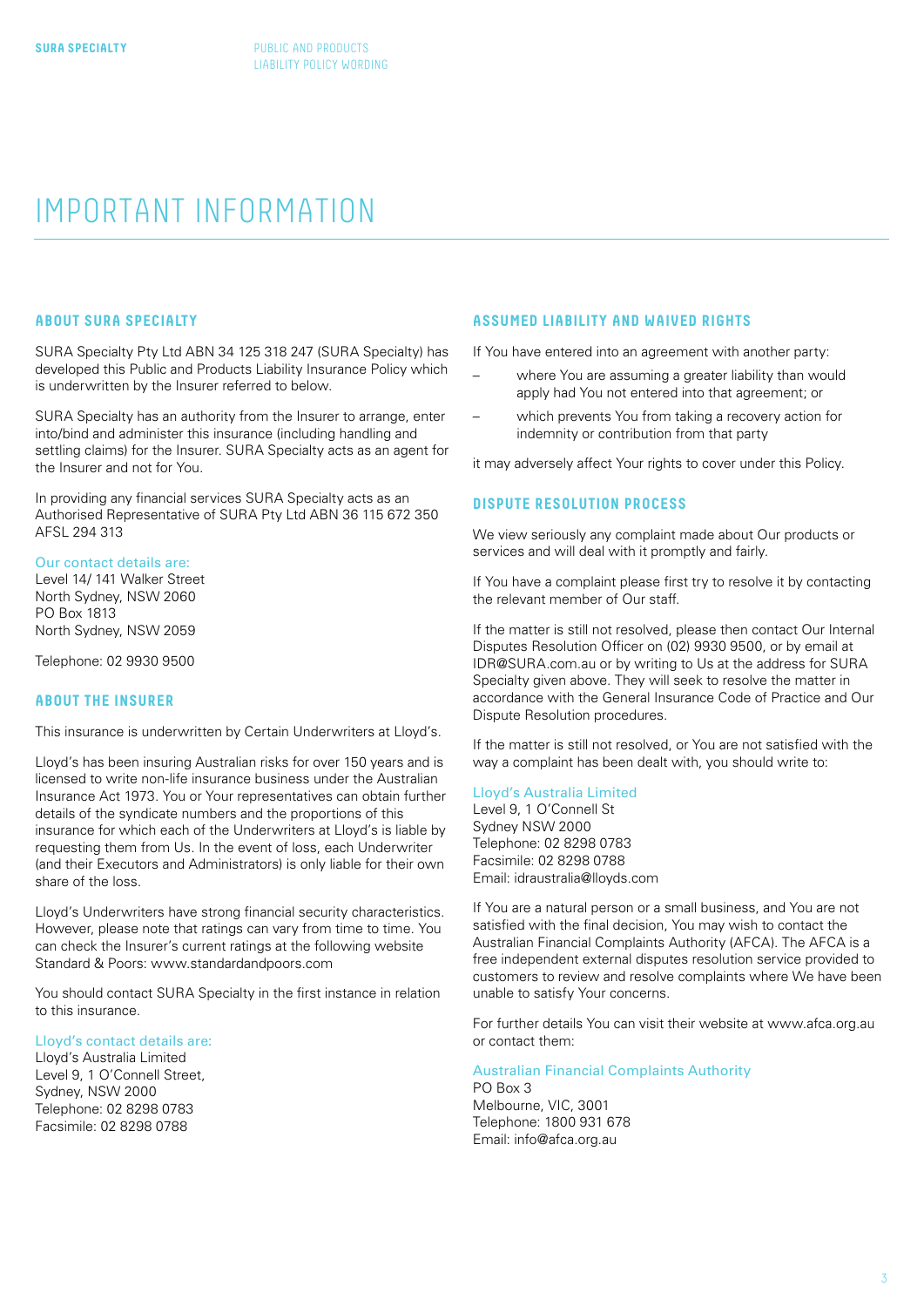## <span id="page-2-0"></span>IMPORTANT INFORMATION

#### **ABOUT SURA SPECIALTY**

SURA Specialty Pty Ltd ABN 34 125 318 247 (SURA Specialty) has developed this Public and Products Liability Insurance Policy which is underwritten by the Insurer referred to below.

SURA Specialty has an authority from the Insurer to arrange, enter into/bind and administer this insurance (including handling and settling claims) for the Insurer. SURA Specialty acts as an agent for the Insurer and not for You.

In providing any financial services SURA Specialty acts as an Authorised Representative of SURA Pty Ltd ABN 36 115 672 350 AFSL 294 313

#### Our contact details are:

Level 14/ 141 Walker Street North Sydney, NSW 2060 PO Box 1813 North Sydney, NSW 2059

Telephone: 02 9930 9500

#### **ABOUT THE INSURER**

This insurance is underwritten by Certain Underwriters at Lloyd's.

Lloyd's has been insuring Australian risks for over 150 years and is licensed to write non-life insurance business under the Australian Insurance Act 1973. You or Your representatives can obtain further details of the syndicate numbers and the proportions of this insurance for which each of the Underwriters at Lloyd's is liable by requesting them from Us. In the event of loss, each Underwriter (and their Executors and Administrators) is only liable for their own share of the loss.

Lloyd's Underwriters have strong financial security characteristics. However, please note that ratings can vary from time to time. You can check the Insurer's current ratings at the following website Standard & Poors: www.standardandpoors.com

You should contact SURA Specialty in the first instance in relation to this insurance.

#### Lloyd's contact details are:

Lloyd's Australia Limited Level 9, 1 O'Connell Street, Sydney, NSW 2000 Telephone: 02 8298 0783 Facsimile: 02 8298 0788

#### **ASSUMED LIABILITY AND WAIVED RIGHTS**

If You have entered into an agreement with another party:

- where You are assuming a greater liability than would apply had You not entered into that agreement; or
- which prevents You from taking a recovery action for indemnity or contribution from that party

it may adversely affect Your rights to cover under this Policy.

#### **DISPUTE RESOLUTION PROCESS**

We view seriously any complaint made about Our products or services and will deal with it promptly and fairly.

If You have a complaint please first try to resolve it by contacting the relevant member of Our staff.

If the matter is still not resolved, please then contact Our Internal Disputes Resolution Officer on (02) 9930 9500, or by email at IDR@SURA.com.au or by writing to Us at the address for SURA Specialty given above. They will seek to resolve the matter in accordance with the General Insurance Code of Practice and Our Dispute Resolution procedures.

If the matter is still not resolved, or You are not satisfied with the way a complaint has been dealt with, you should write to:

#### Lloyd's Australia Limited

Level 9, 1 O'Connell St Sydney NSW 2000 Telephone: 02 8298 0783 Facsimile: 02 8298 0788 Email: idraustralia@lloyds.com

If You are a natural person or a small business, and You are not satisfied with the final decision, You may wish to contact the Australian Financial Complaints Authority (AFCA). The AFCA is a free independent external disputes resolution service provided to customers to review and resolve complaints where We have been unable to satisfy Your concerns.

For further details You can visit their website at www.afca.org.au or contact them:

### Australian Financial Complaints Authority

PO Box 3 Melbourne, VIC, 3001 Telephone: 1800 931 678 Email: info@afca.org.au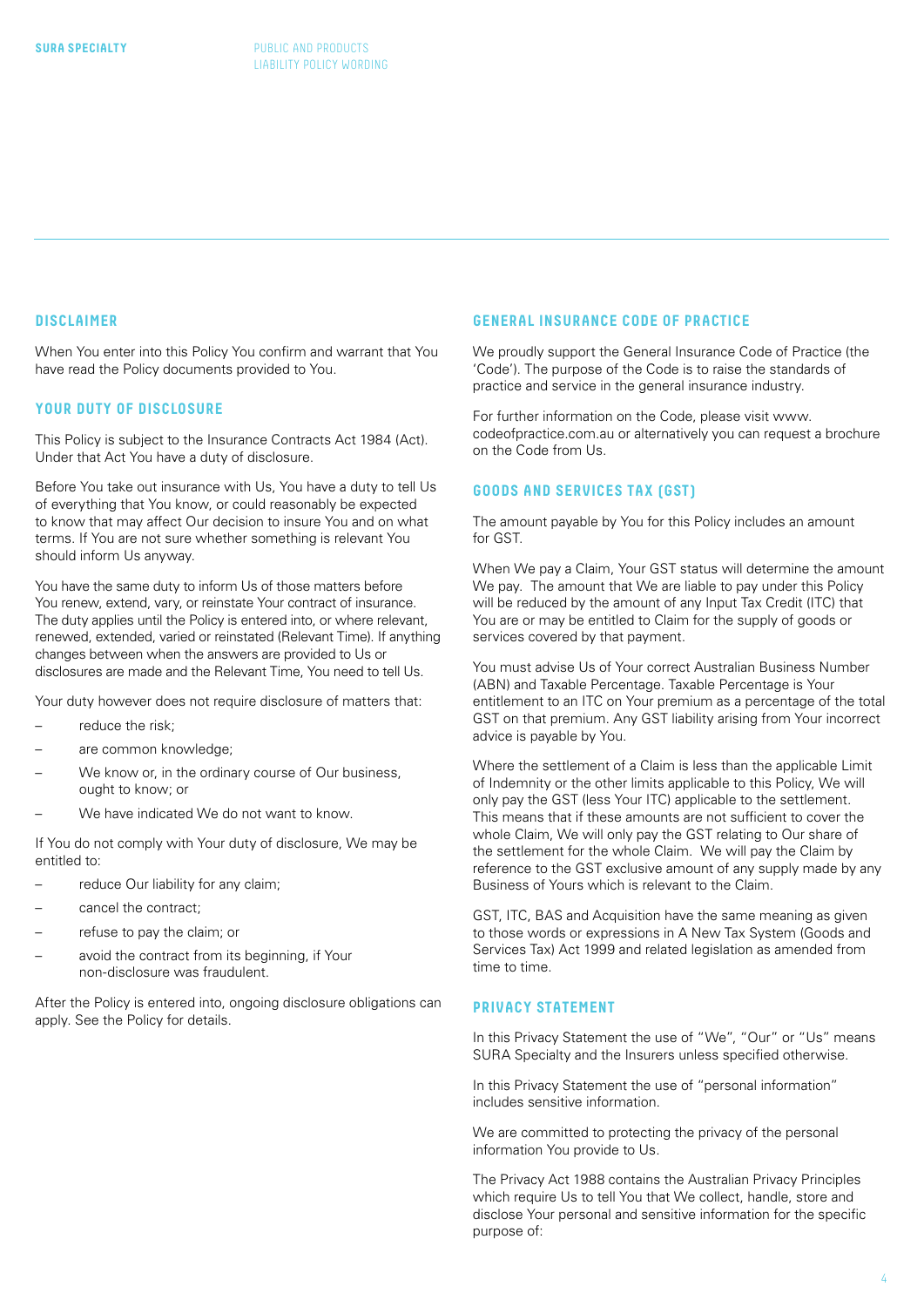#### <span id="page-3-0"></span>**DISCLAIMER**

When You enter into this Policy You confirm and warrant that You have read the Policy documents provided to You.

#### **YOUR DUTY OF DISCLOSURE**

This Policy is subject to the Insurance Contracts Act 1984 (Act). Under that Act You have a duty of disclosure.

Before You take out insurance with Us, You have a duty to tell Us of everything that You know, or could reasonably be expected to know that may affect Our decision to insure You and on what terms. If You are not sure whether something is relevant You should inform Us anyway.

You have the same duty to inform Us of those matters before You renew, extend, vary, or reinstate Your contract of insurance. The duty applies until the Policy is entered into, or where relevant, renewed, extended, varied or reinstated (Relevant Time). If anything changes between when the answers are provided to Us or disclosures are made and the Relevant Time, You need to tell Us.

Your duty however does not require disclosure of matters that:

- reduce the risk:
- are common knowledge;
- We know or, in the ordinary course of Our business, ought to know; or
- We have indicated We do not want to know.

If You do not comply with Your duty of disclosure, We may be entitled to:

- reduce Our liability for any claim;
- cancel the contract;
- refuse to pay the claim; or
- avoid the contract from its beginning, if Your non-disclosure was fraudulent.

After the Policy is entered into, ongoing disclosure obligations can apply. See the Policy for details.

#### **GENERAL INSURANCE CODE OF PRACTICE**

We proudly support the General Insurance Code of Practice (the 'Code'). The purpose of the Code is to raise the standards of practice and service in the general insurance industry.

For further information on the Code, please visit www. codeofpractice.com.au or alternatively you can request a brochure on the Code from Us.

#### **GOODS AND SERVICES TAX (GST)**

The amount payable by You for this Policy includes an amount for GST.

When We pay a Claim, Your GST status will determine the amount We pay. The amount that We are liable to pay under this Policy will be reduced by the amount of any Input Tax Credit (ITC) that You are or may be entitled to Claim for the supply of goods or services covered by that payment.

You must advise Us of Your correct Australian Business Number (ABN) and Taxable Percentage. Taxable Percentage is Your entitlement to an ITC on Your premium as a percentage of the total GST on that premium. Any GST liability arising from Your incorrect advice is payable by You.

Where the settlement of a Claim is less than the applicable Limit of Indemnity or the other limits applicable to this Policy, We will only pay the GST (less Your ITC) applicable to the settlement. This means that if these amounts are not sufficient to cover the whole Claim, We will only pay the GST relating to Our share of the settlement for the whole Claim. We will pay the Claim by reference to the GST exclusive amount of any supply made by any Business of Yours which is relevant to the Claim.

GST, ITC, BAS and Acquisition have the same meaning as given to those words or expressions in A New Tax System (Goods and Services Tax) Act 1999 and related legislation as amended from time to time.

#### **PRIVACY STATEMENT**

In this Privacy Statement the use of "We", "Our" or "Us" means SURA Specialty and the Insurers unless specified otherwise.

In this Privacy Statement the use of "personal information" includes sensitive information.

We are committed to protecting the privacy of the personal information You provide to Us.

The Privacy Act 1988 contains the Australian Privacy Principles which require Us to tell You that We collect, handle, store and disclose Your personal and sensitive information for the specific purpose of: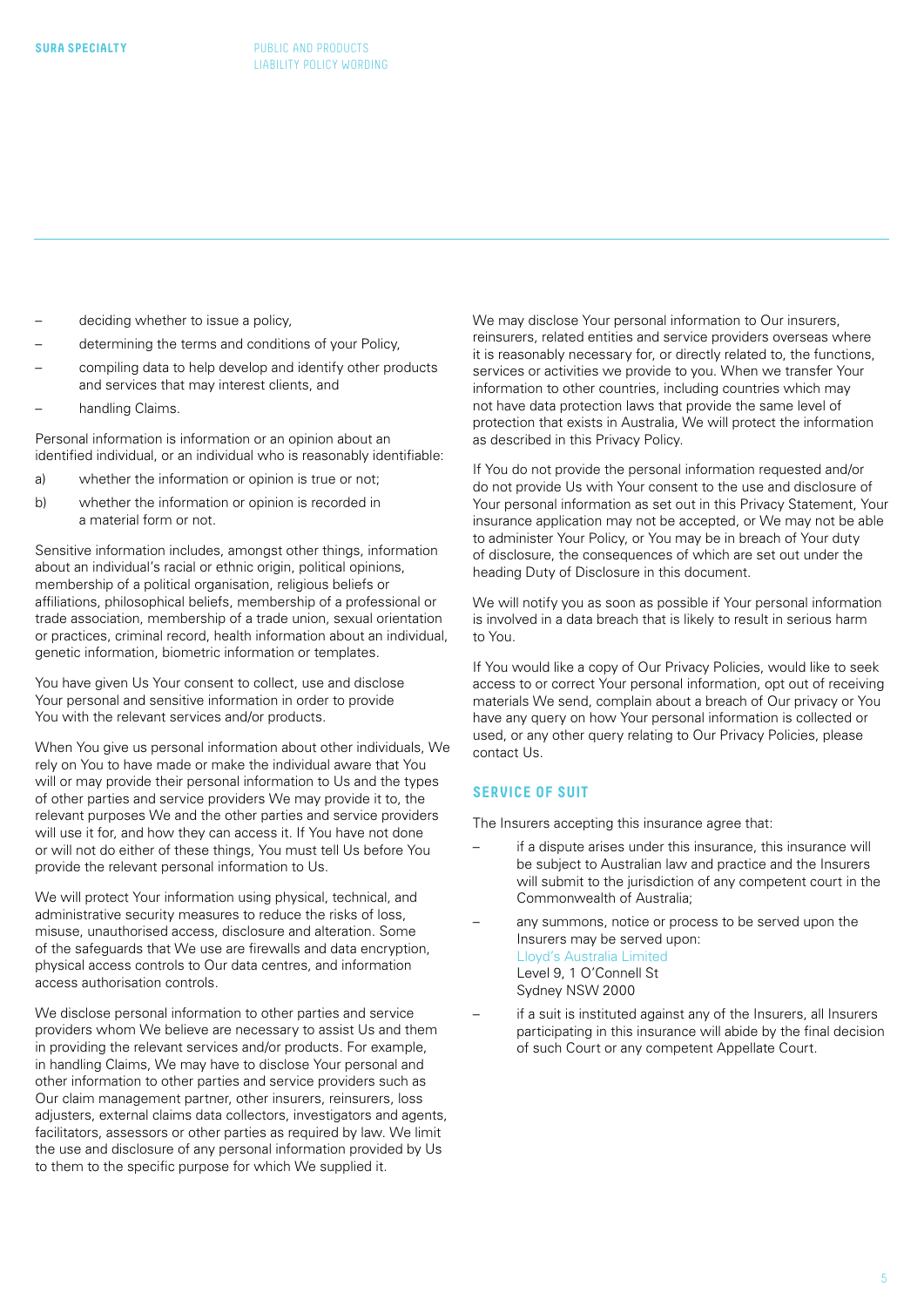- <span id="page-4-0"></span>deciding whether to issue a policy.
- determining the terms and conditions of your Policy,
- compiling data to help develop and identify other products and services that may interest clients, and
- handling Claims.

Personal information is information or an opinion about an identified individual, or an individual who is reasonably identifiable:

- a) whether the information or opinion is true or not;
- b) whether the information or opinion is recorded in a material form or not.

Sensitive information includes, amongst other things, information about an individual's racial or ethnic origin, political opinions, membership of a political organisation, religious beliefs or affiliations, philosophical beliefs, membership of a professional or trade association, membership of a trade union, sexual orientation or practices, criminal record, health information about an individual, genetic information, biometric information or templates.

You have given Us Your consent to collect, use and disclose Your personal and sensitive information in order to provide You with the relevant services and/or products.

When You give us personal information about other individuals, We rely on You to have made or make the individual aware that You will or may provide their personal information to Us and the types of other parties and service providers We may provide it to, the relevant purposes We and the other parties and service providers will use it for, and how they can access it. If You have not done or will not do either of these things, You must tell Us before You provide the relevant personal information to Us.

We will protect Your information using physical, technical, and administrative security measures to reduce the risks of loss, misuse, unauthorised access, disclosure and alteration. Some of the safeguards that We use are firewalls and data encryption, physical access controls to Our data centres, and information access authorisation controls.

We disclose personal information to other parties and service providers whom We believe are necessary to assist Us and them in providing the relevant services and/or products. For example, in handling Claims, We may have to disclose Your personal and other information to other parties and service providers such as Our claim management partner, other insurers, reinsurers, loss adjusters, external claims data collectors, investigators and agents, facilitators, assessors or other parties as required by law. We limit the use and disclosure of any personal information provided by Us to them to the specific purpose for which We supplied it.

We may disclose Your personal information to Our insurers, reinsurers, related entities and service providers overseas where it is reasonably necessary for, or directly related to, the functions, services or activities we provide to you. When we transfer Your information to other countries, including countries which may not have data protection laws that provide the same level of protection that exists in Australia, We will protect the information as described in this Privacy Policy.

If You do not provide the personal information requested and/or do not provide Us with Your consent to the use and disclosure of Your personal information as set out in this Privacy Statement, Your insurance application may not be accepted, or We may not be able to administer Your Policy, or You may be in breach of Your duty of disclosure, the consequences of which are set out under the heading Duty of Disclosure in this document.

We will notify you as soon as possible if Your personal information is involved in a data breach that is likely to result in serious harm to You.

If You would like a copy of Our Privacy Policies, would like to seek access to or correct Your personal information, opt out of receiving materials We send, complain about a breach of Our privacy or You have any query on how Your personal information is collected or used, or any other query relating to Our Privacy Policies, please contact Us.

#### **SERVICE OF SUIT**

The Insurers accepting this insurance agree that:

- if a dispute arises under this insurance, this insurance will be subject to Australian law and practice and the Insurers will submit to the jurisdiction of any competent court in the Commonwealth of Australia;
- any summons, notice or process to be served upon the Insurers may be served upon: Lloyd's Australia Limited Level 9, 1 O'Connell St Sydney NSW 2000
- if a suit is instituted against any of the Insurers, all Insurers participating in this insurance will abide by the final decision of such Court or any competent Appellate Court.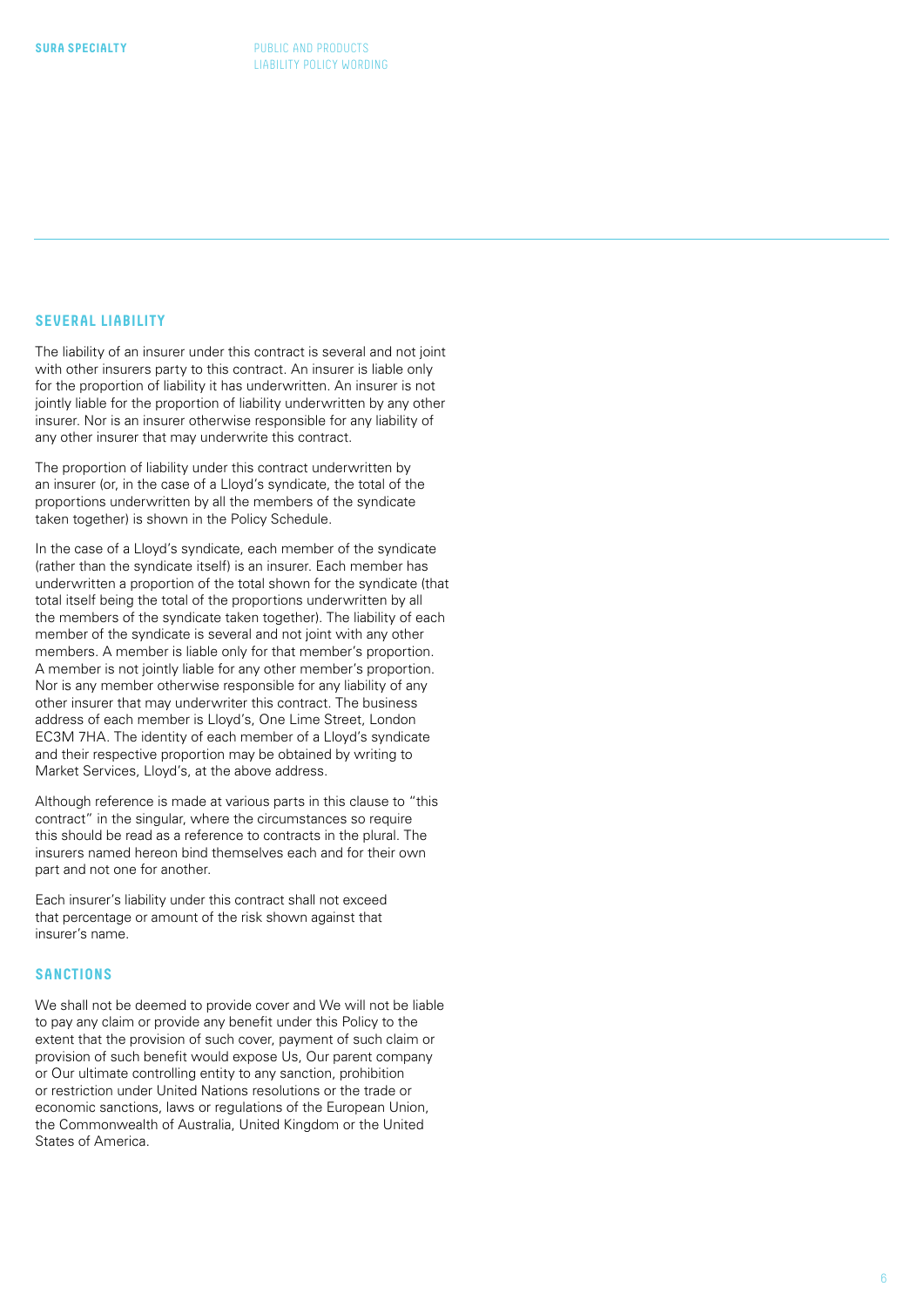#### <span id="page-5-0"></span>**SEVERAL LIABILITY**

The liability of an insurer under this contract is several and not joint with other insurers party to this contract. An insurer is liable only for the proportion of liability it has underwritten. An insurer is not jointly liable for the proportion of liability underwritten by any other insurer. Nor is an insurer otherwise responsible for any liability of any other insurer that may underwrite this contract.

The proportion of liability under this contract underwritten by an insurer (or, in the case of a Lloyd's syndicate, the total of the proportions underwritten by all the members of the syndicate taken together) is shown in the Policy Schedule.

In the case of a Lloyd's syndicate, each member of the syndicate (rather than the syndicate itself) is an insurer. Each member has underwritten a proportion of the total shown for the syndicate (that total itself being the total of the proportions underwritten by all the members of the syndicate taken together). The liability of each member of the syndicate is several and not joint with any other members. A member is liable only for that member's proportion. A member is not jointly liable for any other member's proportion. Nor is any member otherwise responsible for any liability of any other insurer that may underwriter this contract. The business address of each member is Lloyd's, One Lime Street, London EC3M 7HA. The identity of each member of a Lloyd's syndicate and their respective proportion may be obtained by writing to Market Services, Lloyd's, at the above address.

Although reference is made at various parts in this clause to "this contract" in the singular, where the circumstances so require this should be read as a reference to contracts in the plural. The insurers named hereon bind themselves each and for their own part and not one for another.

Each insurer's liability under this contract shall not exceed that percentage or amount of the risk shown against that insurer's name.

#### **SANCTIONS**

We shall not be deemed to provide cover and We will not be liable to pay any claim or provide any benefit under this Policy to the extent that the provision of such cover, payment of such claim or provision of such benefit would expose Us, Our parent company or Our ultimate controlling entity to any sanction, prohibition or restriction under United Nations resolutions or the trade or economic sanctions, laws or regulations of the European Union, the Commonwealth of Australia, United Kingdom or the United States of America.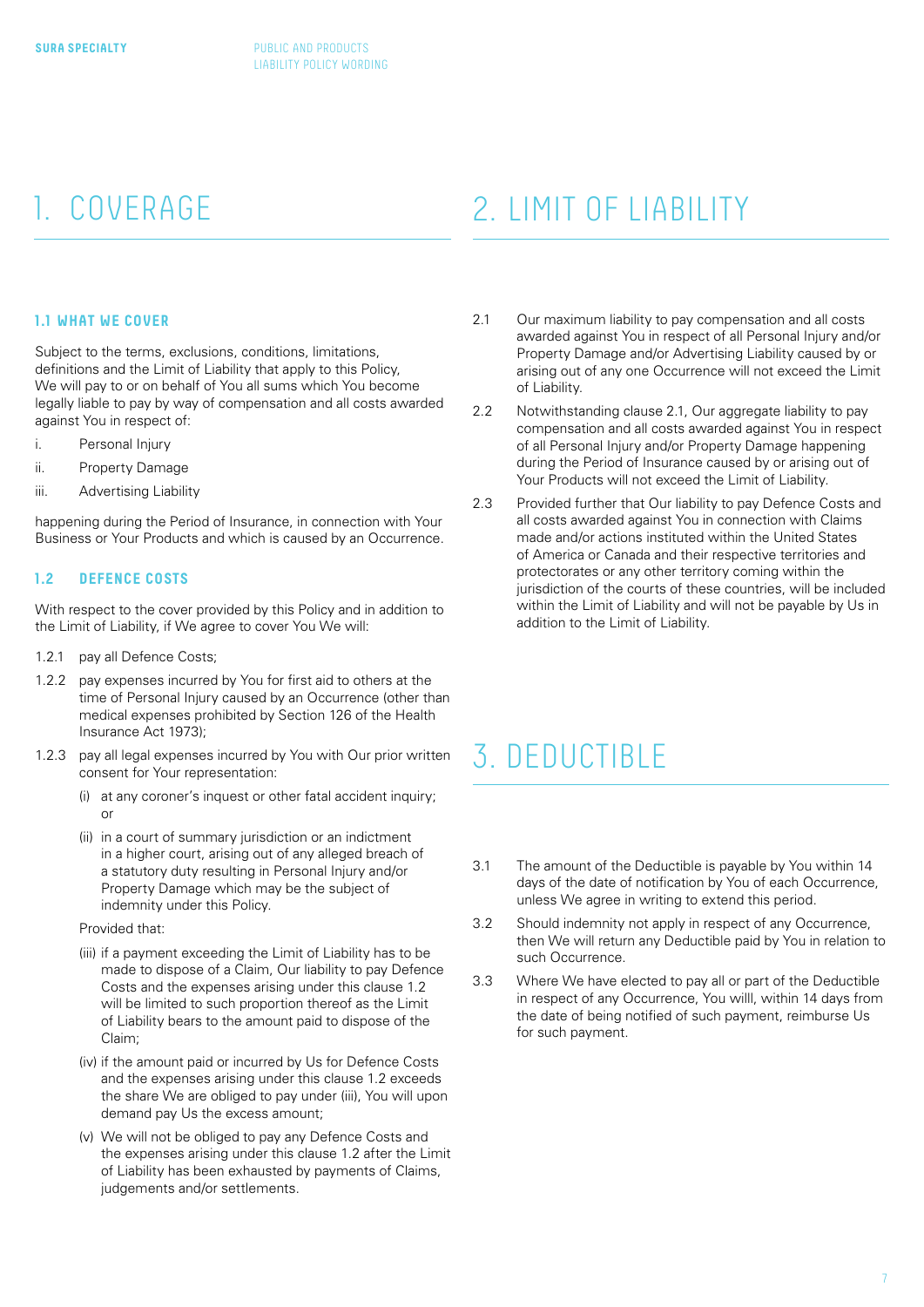#### **1.1 WHAT WE COVER**

Subject to the terms, exclusions, conditions, limitations, definitions and the Limit of Liability that apply to this Policy, We will pay to or on behalf of You all sums which You become legally liable to pay by way of compensation and all costs awarded against You in respect of:

- i. Personal Injury
- ii. Property Damage
- iii. Advertising Liability

happening during the Period of Insurance, in connection with Your Business or Your Products and which is caused by an Occurrence.

#### **1.2 DEFENCE COSTS**

With respect to the cover provided by this Policy and in addition to the Limit of Liability, if We agree to cover You We will:

- 1.2.1 pay all Defence Costs;
- 1.2.2 pay expenses incurred by You for first aid to others at the time of Personal Injury caused by an Occurrence (other than medical expenses prohibited by Section 126 of the Health Insurance Act 1973);
- 1.2.3 pay all legal expenses incurred by You with Our prior written consent for Your representation:
	- (i) at any coroner's inquest or other fatal accident inquiry; or
	- (ii) in a court of summary jurisdiction or an indictment in a higher court, arising out of any alleged breach of a statutory duty resulting in Personal Injury and/or Property Damage which may be the subject of indemnity under this Policy.

#### Provided that:

- (iii) if a payment exceeding the Limit of Liability has to be made to dispose of a Claim, Our liability to pay Defence Costs and the expenses arising under this clause 1.2 will be limited to such proportion thereof as the Limit of Liability bears to the amount paid to dispose of the Claim;
- (iv) if the amount paid or incurred by Us for Defence Costs and the expenses arising under this clause 1.2 exceeds the share We are obliged to pay under (iii), You will upon demand pay Us the excess amount;
- (v) We will not be obliged to pay any Defence Costs and the expenses arising under this clause 1.2 after the Limit of Liability has been exhausted by payments of Claims, judgements and/or settlements.

### <span id="page-6-0"></span>1. COVERAGE 2. LIMIT OF LIABILITY

- 2.1 Our maximum liability to pay compensation and all costs awarded against You in respect of all Personal Injury and/or Property Damage and/or Advertising Liability caused by or arising out of any one Occurrence will not exceed the Limit of Liability.
- 2.2 Notwithstanding clause 2.1, Our aggregate liability to pay compensation and all costs awarded against You in respect of all Personal Injury and/or Property Damage happening during the Period of Insurance caused by or arising out of Your Products will not exceed the Limit of Liability.
- 2.3 Provided further that Our liability to pay Defence Costs and all costs awarded against You in connection with Claims made and/or actions instituted within the United States of America or Canada and their respective territories and protectorates or any other territory coming within the jurisdiction of the courts of these countries, will be included within the Limit of Liability and will not be payable by Us in addition to the Limit of Liability.

### 3. DEDUCTIBLE

- 3.1 The amount of the Deductible is payable by You within 14 days of the date of notification by You of each Occurrence, unless We agree in writing to extend this period.
- 3.2 Should indemnity not apply in respect of any Occurrence, then We will return any Deductible paid by You in relation to such Occurrence.
- 3.3 Where We have elected to pay all or part of the Deductible in respect of any Occurrence, You willl, within 14 days from the date of being notified of such payment, reimburse Us for such payment.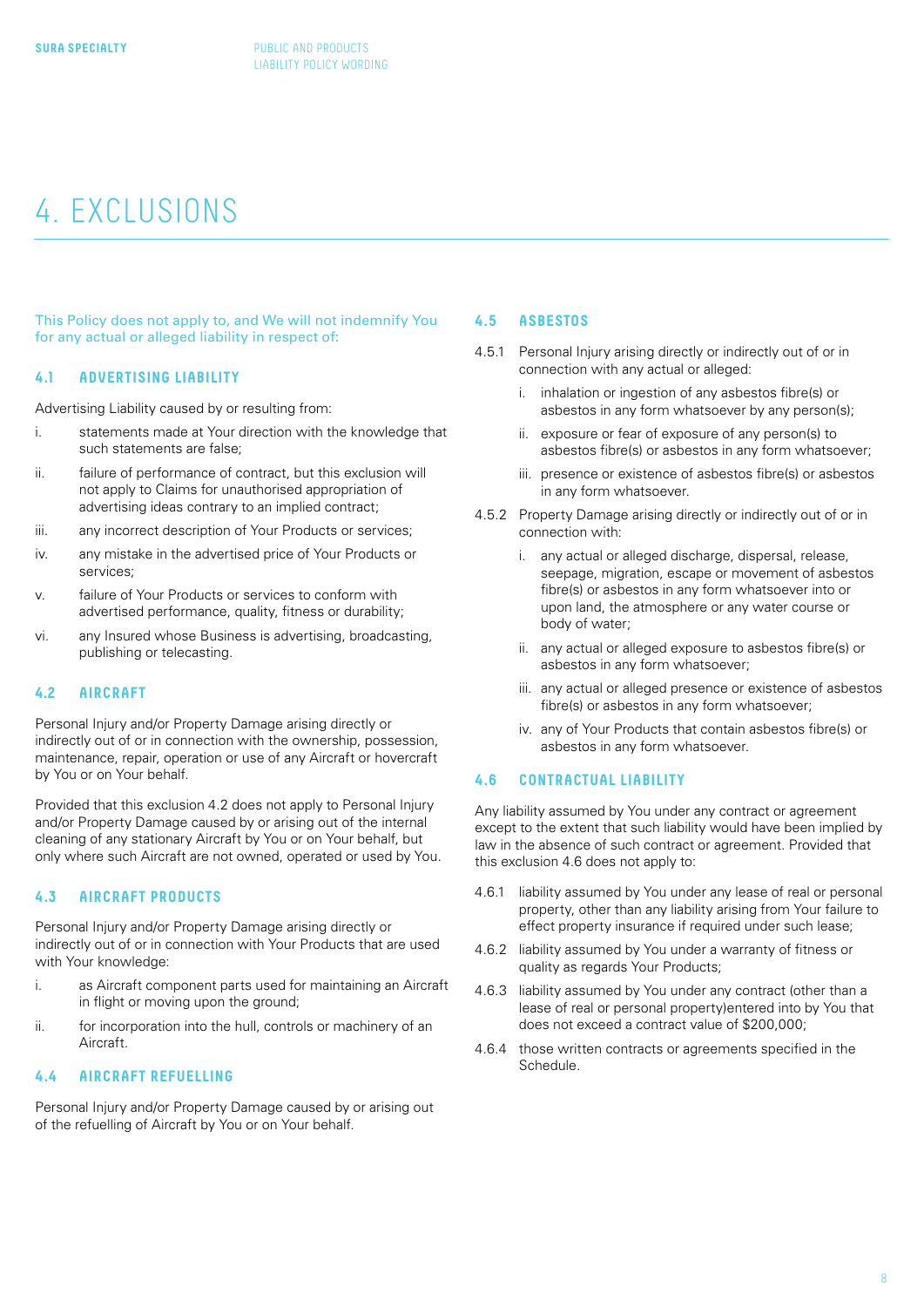## <span id="page-7-0"></span>4. EXCLUSIONS

This Policy does not apply to, and We will not indemnify You for any actual or alleged liability in respect of:

#### **4.1 ADVERTISING LIABILITY**

Advertising Liability caused by or resulting from:

- i. statements made at Your direction with the knowledge that such statements are false;
- ii. **Failure of performance of contract** but this exclusion will not apply to Claims for unauthorised appropriation of advertising ideas contrary to an implied contract;
- iii. any incorrect description of Your Products or services;
- iv. any mistake in the advertised price of Your Products or services;
- v. failure of Your Products or services to conform with advertised performance, quality, fitness or durability;
- vi. any Insured whose Business is advertising, broadcasting, publishing or telecasting.

#### **4.2 AIRCRAFT**

Personal Injury and/or Property Damage arising directly or indirectly out of or in connection with the ownership, possession, maintenance, repair, operation or use of any Aircraft or hovercraft by You or on Your behalf.

Provided that this exclusion 4.2 does not apply to Personal Injury and/or Property Damage caused by or arising out of the internal cleaning of any stationary Aircraft by You or on Your behalf, but only where such Aircraft are not owned, operated or used by You.

#### **4.3 AIRCRAFT PRODUCTS**

Personal Injury and/or Property Damage arising directly or indirectly out of or in connection with Your Products that are used with Your knowledge:

- i. as Aircraft component parts used for maintaining an Aircraft in flight or moving upon the ground;
- ii. for incorporation into the hull, controls or machinery of an Aircraft.

#### **4.4 AIRCRAFT REFUELLING**

Personal Injury and/or Property Damage caused by or arising out of the refuelling of Aircraft by You or on Your behalf.

#### **4.5 ASBESTOS**

- 4.5.1 Personal Injury arising directly or indirectly out of or in connection with any actual or alleged:
	- i. inhalation or ingestion of any asbestos fibre(s) or asbestos in any form whatsoever by any person(s);
	- ii. exposure or fear of exposure of any person(s) to asbestos fibre(s) or asbestos in any form whatsoever;
	- iii. presence or existence of asbestos fibre(s) or asbestos in any form whatsoever.
- 4.5.2 Property Damage arising directly or indirectly out of or in connection with:
	- i. any actual or alleged discharge, dispersal, release, seepage, migration, escape or movement of asbestos fibre(s) or asbestos in any form whatsoever into or upon land, the atmosphere or any water course or body of water;
	- ii. any actual or alleged exposure to asbestos fibre(s) or asbestos in any form whatsoever;
	- iii. any actual or alleged presence or existence of asbestos fibre(s) or asbestos in any form whatsoever;
	- iv. any of Your Products that contain asbestos fibre(s) or asbestos in any form whatsoever.

#### **4.6 CONTRACTUAL LIABILITY**

Any liability assumed by You under any contract or agreement except to the extent that such liability would have been implied by law in the absence of such contract or agreement. Provided that this exclusion 4.6 does not apply to:

- 4.6.1 liability assumed by You under any lease of real or personal property, other than any liability arising from Your failure to effect property insurance if required under such lease;
- 4.6.2 liability assumed by You under a warranty of fitness or quality as regards Your Products;
- 4.6.3 liability assumed by You under any contract (other than a lease of real or personal property)entered into by You that does not exceed a contract value of \$200,000;
- 4.6.4 those written contracts or agreements specified in the Schedule.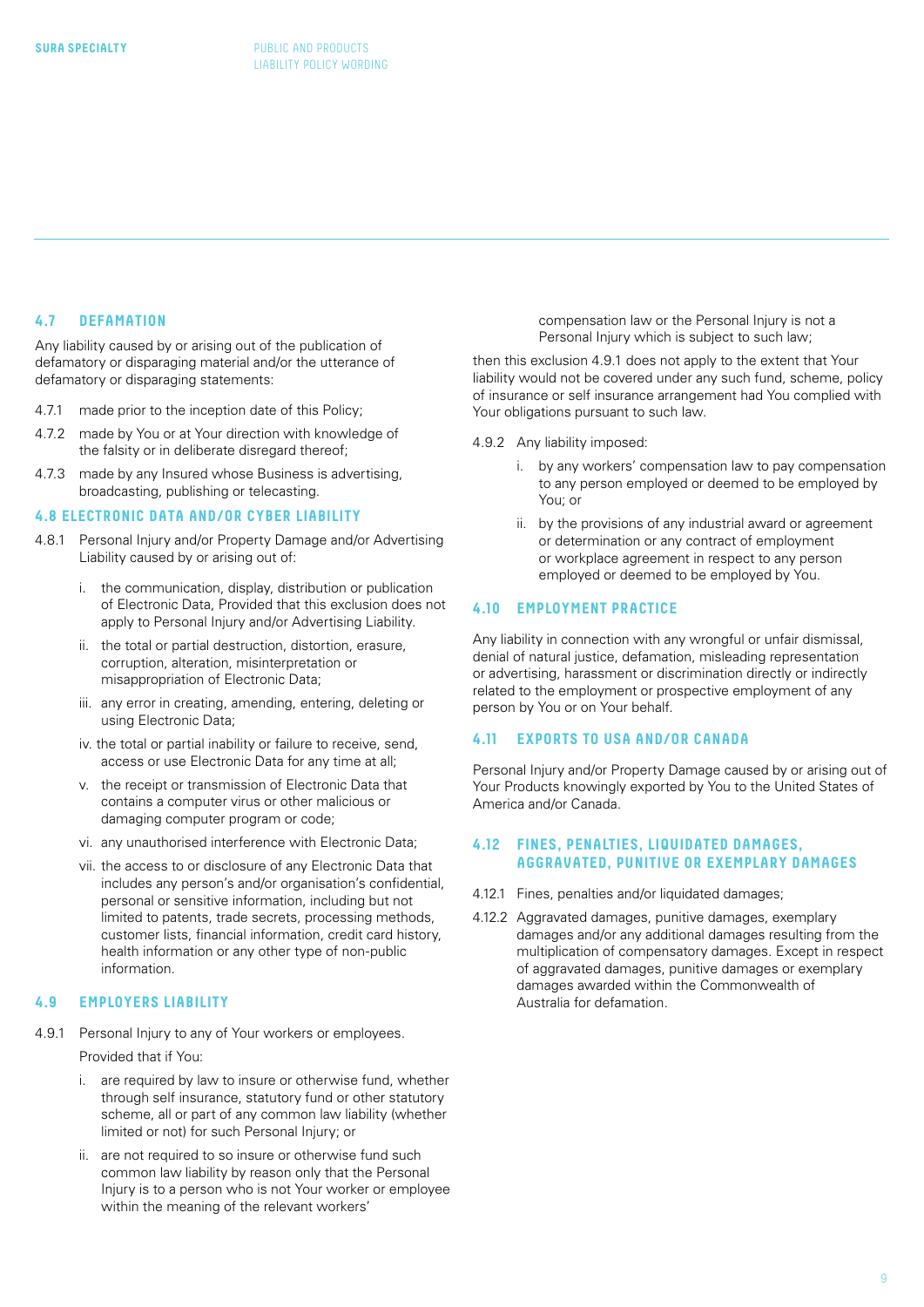#### <span id="page-8-0"></span>**4.7 DEFAMATION**

Any liability caused by or arising out of the publication of defamatory or disparaging material and/or the utterance of defamatory or disparaging statements:

- 4.7.1 made prior to the inception date of this Policy;
- 4.7.2 made by You or at Your direction with knowledge of the falsity or in deliberate disregard thereof;
- 4.7.3 made by any Insured whose Business is advertising, broadcasting, publishing or telecasting.

#### **4.8 ELECTRONIC DATA AND/OR CYBER LIABILITY**

- 4.8.1 Personal Injury and/or Property Damage and/or Advertising Liability caused by or arising out of:
	- i. the communication, display, distribution or publication of Electronic Data, Provided that this exclusion does not apply to Personal Injury and/or Advertising Liability.
	- ii. the total or partial destruction, distortion, erasure, corruption, alteration, misinterpretation or misappropriation of Electronic Data;
	- iii. any error in creating, amending, entering, deleting or using Electronic Data;
	- iv. the total or partial inability or failure to receive, send, access or use Electronic Data for any time at all;
	- v. the receipt or transmission of Electronic Data that contains a computer virus or other malicious or damaging computer program or code;
	- vi. any unauthorised interference with Electronic Data;
	- vii. the access to or disclosure of any Electronic Data that includes any person's and/or organisation's confidential, personal or sensitive information, including but not limited to patents, trade secrets, processing methods, customer lists, financial information, credit card history, health information or any other type of non-public information.

#### **4.9 EMPLOYERS LIABILITY**

- 4.9.1 Personal Injury to any of Your workers or employees. Provided that if You:
	- i. are required by law to insure or otherwise fund, whether through self insurance, statutory fund or other statutory scheme, all or part of any common law liability (whether limited or not) for such Personal Injury; or
	- ii. are not required to so insure or otherwise fund such common law liability by reason only that the Personal Injury is to a person who is not Your worker or employee within the meaning of the relevant workers'

compensation law or the Personal Injury is not a Personal Injury which is subject to such law;

then this exclusion 4.9.1 does not apply to the extent that Your liability would not be covered under any such fund, scheme, policy of insurance or self insurance arrangement had You complied with Your obligations pursuant to such law.

- 4.9.2 Any liability imposed:
	- i. by any workers' compensation law to pay compensation to any person employed or deemed to be employed by You; or
	- ii. by the provisions of any industrial award or agreement or determination or any contract of employment or workplace agreement in respect to any person employed or deemed to be employed by You.

#### **4.10 EMPLOYMENT PRACTICE**

Any liability in connection with any wrongful or unfair dismissal, denial of natural justice, defamation, misleading representation or advertising, harassment or discrimination directly or indirectly related to the employment or prospective employment of any person by You or on Your behalf.

#### **4.11 EXPORTS TO USA AND/OR CANADA**

Personal Injury and/or Property Damage caused by or arising out of Your Products knowingly exported by You to the United States of America and/or Canada.

#### **4.12 FINES, PENALTIES, LIQUIDATED DAMAGES, AGGRAVATED, PUNITIVE OR EXEMPLARY DAMAGES**

- 4.12.1 Fines, penalties and/or liquidated damages;
- 4.12.2 Aggravated damages, punitive damages, exemplary damages and/or any additional damages resulting from the multiplication of compensatory damages. Except in respect of aggravated damages, punitive damages or exemplary damages awarded within the Commonwealth of Australia for defamation.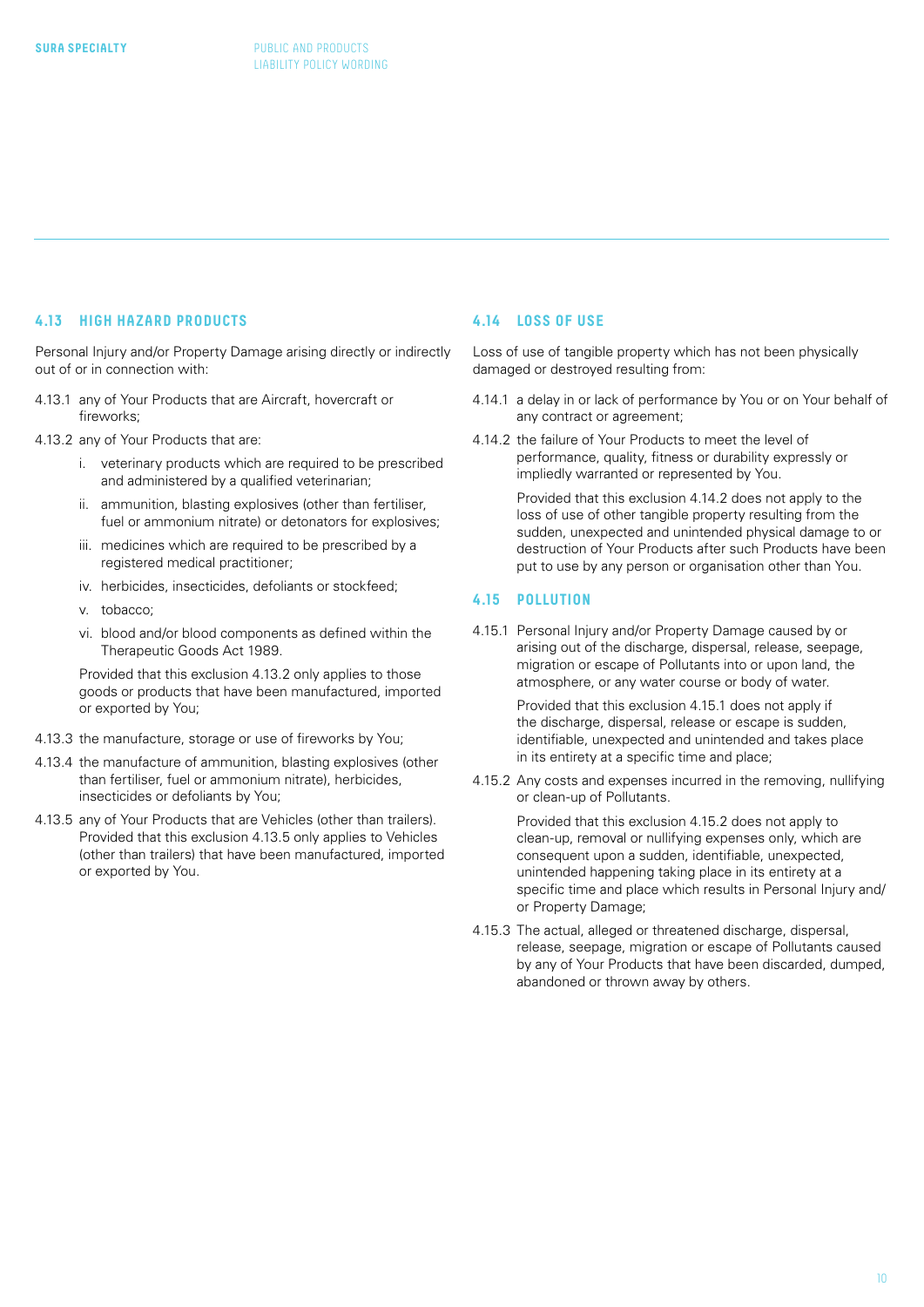#### <span id="page-9-0"></span>**4.13 HIGH HAZARD PRODUCTS**

Personal Injury and/or Property Damage arising directly or indirectly out of or in connection with:

- 4.13.1 any of Your Products that are Aircraft, hovercraft or fireworks;
- 4.13.2 any of Your Products that are:
	- i. veterinary products which are required to be prescribed and administered by a qualified veterinarian;
	- ii. ammunition, blasting explosives (other than fertiliser, fuel or ammonium nitrate) or detonators for explosives;
	- iii. medicines which are required to be prescribed by a registered medical practitioner;
	- iv. herbicides, insecticides, defoliants or stockfeed;
	- v. tobacco;
	- vi. blood and/or blood components as defined within the Therapeutic Goods Act 1989.

 Provided that this exclusion 4.13.2 only applies to those goods or products that have been manufactured, imported or exported by You;

- 4.13.3 the manufacture, storage or use of fireworks by You;
- 4.13.4 the manufacture of ammunition, blasting explosives (other than fertiliser, fuel or ammonium nitrate), herbicides, insecticides or defoliants by You;
- 4.13.5 any of Your Products that are Vehicles (other than trailers). Provided that this exclusion 4.13.5 only applies to Vehicles (other than trailers) that have been manufactured, imported or exported by You.

#### **4.14 LOSS OF USE**

Loss of use of tangible property which has not been physically damaged or destroyed resulting from:

- 4.14.1 a delay in or lack of performance by You or on Your behalf of any contract or agreement;
- 4.14.2 the failure of Your Products to meet the level of performance, quality, fitness or durability expressly or impliedly warranted or represented by You.

Provided that this exclusion 4.14.2 does not apply to the loss of use of other tangible property resulting from the sudden, unexpected and unintended physical damage to or destruction of Your Products after such Products have been put to use by any person or organisation other than You.

#### **4.15 POLLUTION**

4.15.1 Personal Injury and/or Property Damage caused by or arising out of the discharge, dispersal, release, seepage, migration or escape of Pollutants into or upon land, the atmosphere, or any water course or body of water.

> Provided that this exclusion 4.15.1 does not apply if the discharge, dispersal, release or escape is sudden, identifiable, unexpected and unintended and takes place in its entirety at a specific time and place;

4.15.2 Any costs and expenses incurred in the removing, nullifying or clean-up of Pollutants.

Provided that this exclusion 4.15.2 does not apply to clean-up, removal or nullifying expenses only, which are consequent upon a sudden, identifiable, unexpected, unintended happening taking place in its entirety at a specific time and place which results in Personal Injury and/ or Property Damage;

4.15.3 The actual, alleged or threatened discharge, dispersal, release, seepage, migration or escape of Pollutants caused by any of Your Products that have been discarded, dumped, abandoned or thrown away by others.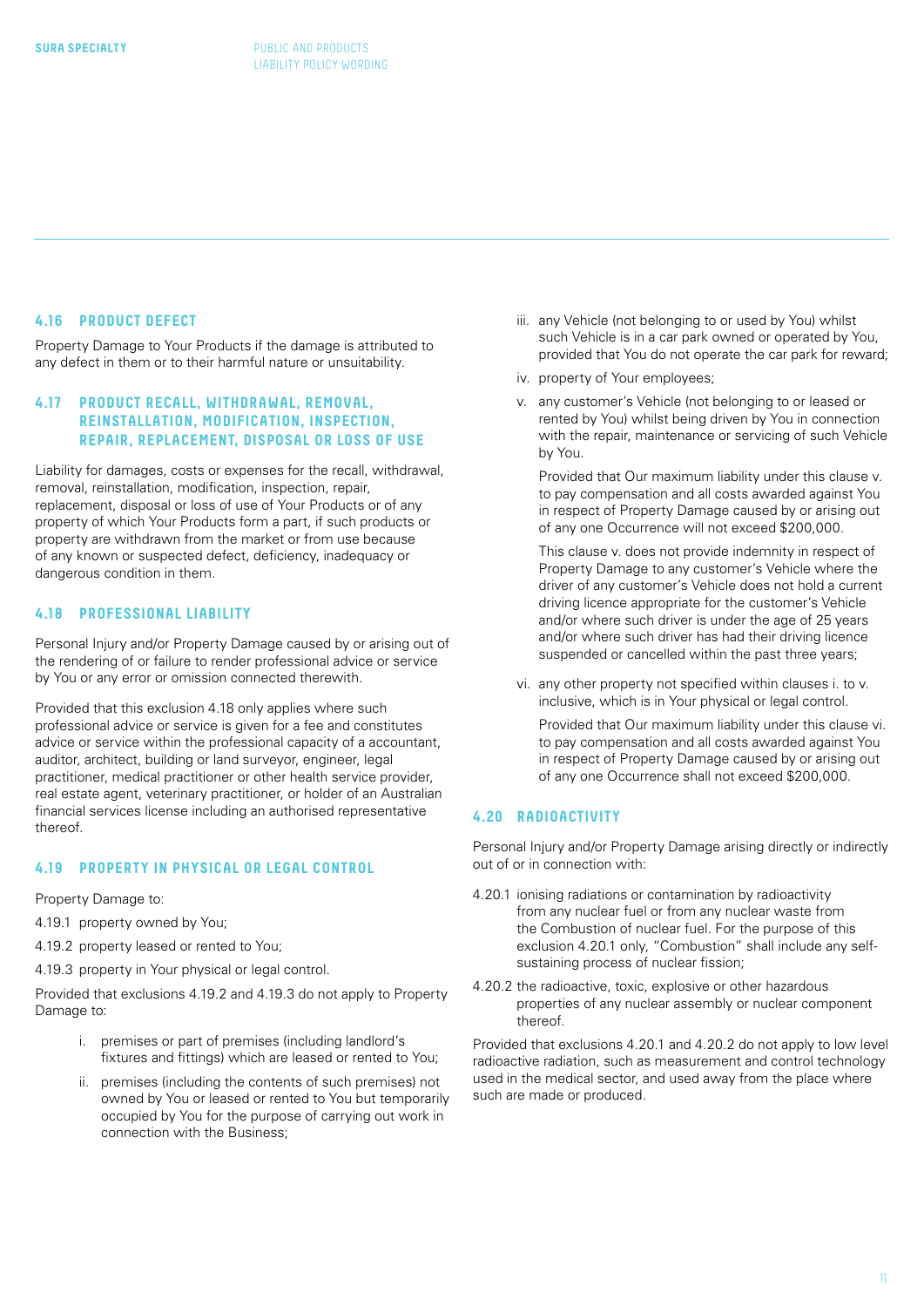#### <span id="page-10-0"></span>**4.16 PRODUCT DEFECT**

Property Damage to Your Products if the damage is attributed to any defect in them or to their harmful nature or unsuitability.

#### **4.17 PRODUCT RECALL, WITHDRAWAL, REMOVAL, REINSTALLATION, MODIFICATION, INSPECTION, REPAIR, REPLACEMENT, DISPOSAL OR LOSS OF USE**

Liability for damages, costs or expenses for the recall, withdrawal, removal, reinstallation, modification, inspection, repair, replacement, disposal or loss of use of Your Products or of any property of which Your Products form a part, if such products or property are withdrawn from the market or from use because of any known or suspected defect, deficiency, inadequacy or dangerous condition in them.

#### **4.18 PROFESSIONAL LIABILITY**

Personal Injury and/or Property Damage caused by or arising out of the rendering of or failure to render professional advice or service by You or any error or omission connected therewith.

Provided that this exclusion 4.18 only applies where such professional advice or service is given for a fee and constitutes advice or service within the professional capacity of a accountant, auditor, architect, building or land surveyor, engineer, legal practitioner, medical practitioner or other health service provider, real estate agent, veterinary practitioner, or holder of an Australian financial services license including an authorised representative thereof.

#### **4.19 PROPERTY IN PHYSICAL OR LEGAL CONTROL**

Property Damage to:

- 4.19.1 property owned by You;
- 4.19.2 property leased or rented to You;
- 4.19.3 property in Your physical or legal control.

Provided that exclusions 4.19.2 and 4.19.3 do not apply to Property Damage to:

- i. premises or part of premises (including landlord's fixtures and fittings) which are leased or rented to You;
- ii. premises (including the contents of such premises) not owned by You or leased or rented to You but temporarily occupied by You for the purpose of carrying out work in connection with the Business;
- iii. any Vehicle (not belonging to or used by You) whilst such Vehicle is in a car park owned or operated by You, provided that You do not operate the car park for reward;
- iv. property of Your employees;
- v. any customer's Vehicle (not belonging to or leased or rented by You) whilst being driven by You in connection with the repair, maintenance or servicing of such Vehicle by You.

Provided that Our maximum liability under this clause v. to pay compensation and all costs awarded against You in respect of Property Damage caused by or arising out of any one Occurrence will not exceed \$200,000.

 This clause v. does not provide indemnity in respect of Property Damage to any customer's Vehicle where the driver of any customer's Vehicle does not hold a current driving licence appropriate for the customer's Vehicle and/or where such driver is under the age of 25 years and/or where such driver has had their driving licence suspended or cancelled within the past three years;

vi. any other property not specified within clauses i. to v. inclusive, which is in Your physical or legal control.

 Provided that Our maximum liability under this clause vi. to pay compensation and all costs awarded against You in respect of Property Damage caused by or arising out of any one Occurrence shall not exceed \$200,000.

### **4.20 RADIOACTIVITY**

Personal Injury and/or Property Damage arising directly or indirectly out of or in connection with:

- 4.20.1 ionising radiations or contamination by radioactivity from any nuclear fuel or from any nuclear waste from the Combustion of nuclear fuel. For the purpose of this exclusion 4.20.1 only, "Combustion" shall include any selfsustaining process of nuclear fission;
- 4.20.2 the radioactive, toxic, explosive or other hazardous properties of any nuclear assembly or nuclear component thereof.

Provided that exclusions 4.20.1 and 4.20.2 do not apply to low level radioactive radiation, such as measurement and control technology used in the medical sector, and used away from the place where such are made or produced.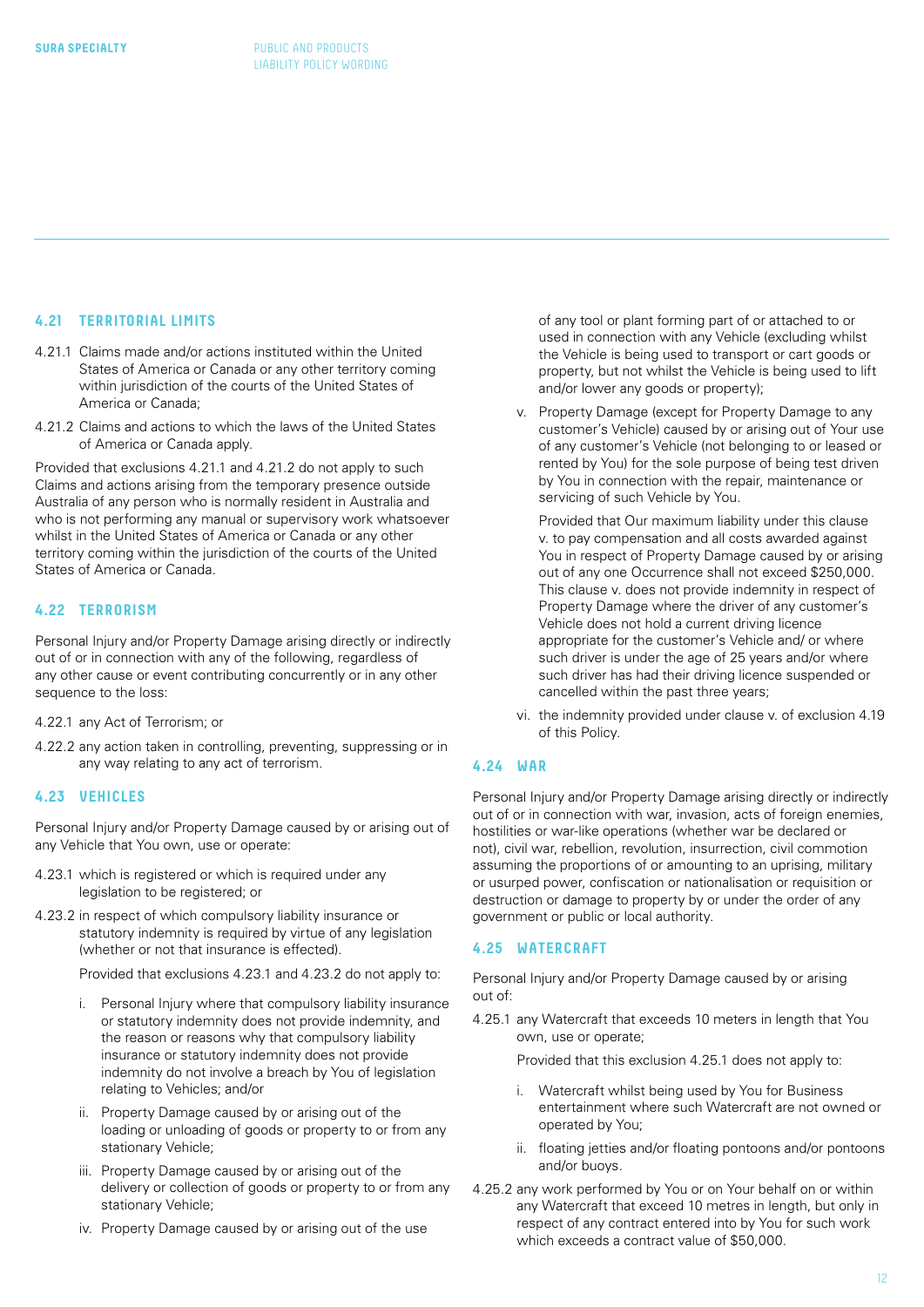#### **4.21 TERRITORIAL LIMITS**

- 4.21.1 Claims made and/or actions instituted within the United States of America or Canada or any other territory coming within jurisdiction of the courts of the United States of America or Canada;
- 4.21.2 Claims and actions to which the laws of the United States of America or Canada apply.

Provided that exclusions 4.21.1 and 4.21.2 do not apply to such Claims and actions arising from the temporary presence outside Australia of any person who is normally resident in Australia and who is not performing any manual or supervisory work whatsoever whilst in the United States of America or Canada or any other territory coming within the jurisdiction of the courts of the United States of America or Canada.

#### **4.22 TERRORISM**

Personal Injury and/or Property Damage arising directly or indirectly out of or in connection with any of the following, regardless of any other cause or event contributing concurrently or in any other sequence to the loss:

#### 4.22.1 any Act of Terrorism; or

4.22.2 any action taken in controlling, preventing, suppressing or in any way relating to any act of terrorism.

#### **4.23 VEHICLES**

Personal Injury and/or Property Damage caused by or arising out of any Vehicle that You own, use or operate:

- 4.23.1 which is registered or which is required under any legislation to be registered; or
- 4.23.2 in respect of which compulsory liability insurance or statutory indemnity is required by virtue of any legislation (whether or not that insurance is effected).

Provided that exclusions 4.23.1 and 4.23.2 do not apply to:

- i. Personal Injury where that compulsory liability insurance or statutory indemnity does not provide indemnity, and the reason or reasons why that compulsory liability insurance or statutory indemnity does not provide indemnity do not involve a breach by You of legislation relating to Vehicles; and/or
- ii. Property Damage caused by or arising out of the loading or unloading of goods or property to or from any stationary Vehicle;
- iii. Property Damage caused by or arising out of the delivery or collection of goods or property to or from any stationary Vehicle;
- iv. Property Damage caused by or arising out of the use

of any tool or plant forming part of or attached to or used in connection with any Vehicle (excluding whilst the Vehicle is being used to transport or cart goods or property, but not whilst the Vehicle is being used to lift and/or lower any goods or property);

v. Property Damage (except for Property Damage to any customer's Vehicle) caused by or arising out of Your use of any customer's Vehicle (not belonging to or leased or rented by You) for the sole purpose of being test driven by You in connection with the repair, maintenance or servicing of such Vehicle by You.

Provided that Our maximum liability under this clause v. to pay compensation and all costs awarded against You in respect of Property Damage caused by or arising out of any one Occurrence shall not exceed \$250,000. This clause v. does not provide indemnity in respect of Property Damage where the driver of any customer's Vehicle does not hold a current driving licence appropriate for the customer's Vehicle and/ or where such driver is under the age of 25 years and/or where such driver has had their driving licence suspended or cancelled within the past three years;

vi. the indemnity provided under clause v. of exclusion 4.19 of this Policy.

#### **4.24 WAR**

Personal Injury and/or Property Damage arising directly or indirectly out of or in connection with war, invasion, acts of foreign enemies, hostilities or war-like operations (whether war be declared or not), civil war, rebellion, revolution, insurrection, civil commotion assuming the proportions of or amounting to an uprising, military or usurped power, confiscation or nationalisation or requisition or destruction or damage to property by or under the order of any government or public or local authority.

#### **4.25 WATERCRAFT**

Personal Injury and/or Property Damage caused by or arising out of:

4.25.1 any Watercraft that exceeds 10 meters in length that You own, use or operate;

Provided that this exclusion 4.25.1 does not apply to:

- i. Watercraft whilst being used by You for Business entertainment where such Watercraft are not owned or operated by You;
- ii. floating jetties and/or floating pontoons and/or pontoons and/or buoys.
- 4.25.2 any work performed by You or on Your behalf on or within any Watercraft that exceed 10 metres in length, but only in respect of any contract entered into by You for such work which exceeds a contract value of \$50,000.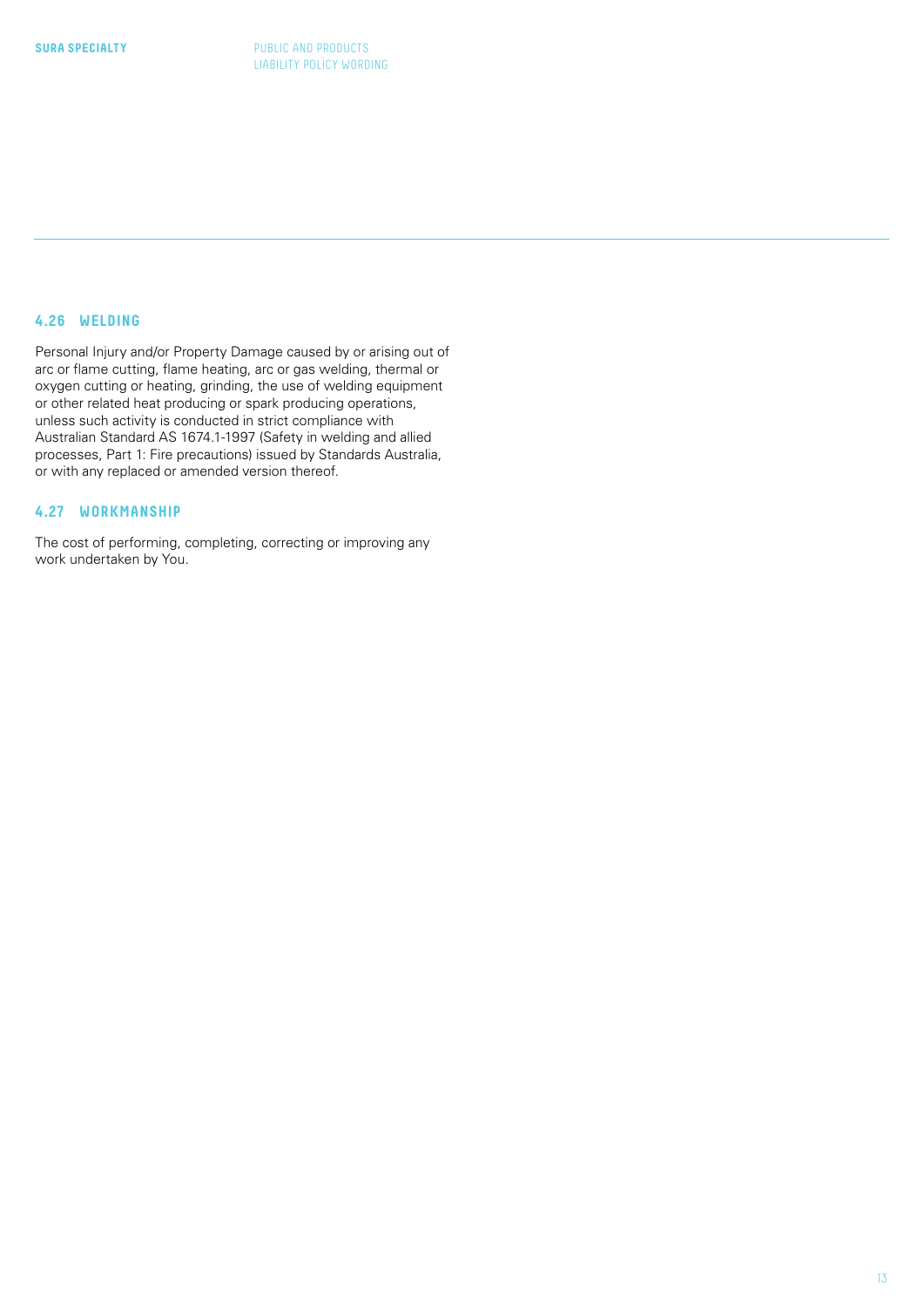### <span id="page-12-0"></span>**4.26 WELDING**

Personal Injury and/or Property Damage caused by or arising out of arc or flame cutting, flame heating, arc or gas welding, thermal or oxygen cutting or heating, grinding, the use of welding equipment or other related heat producing or spark producing operations, unless such activity is conducted in strict compliance with Australian Standard AS 1674.1-1997 (Safety in welding and allied processes, Part 1: Fire precautions) issued by Standards Australia, or with any replaced or amended version thereof.

#### **4.27 WORKMANSHIP**

The cost of performing, completing, correcting or improving any work undertaken by You.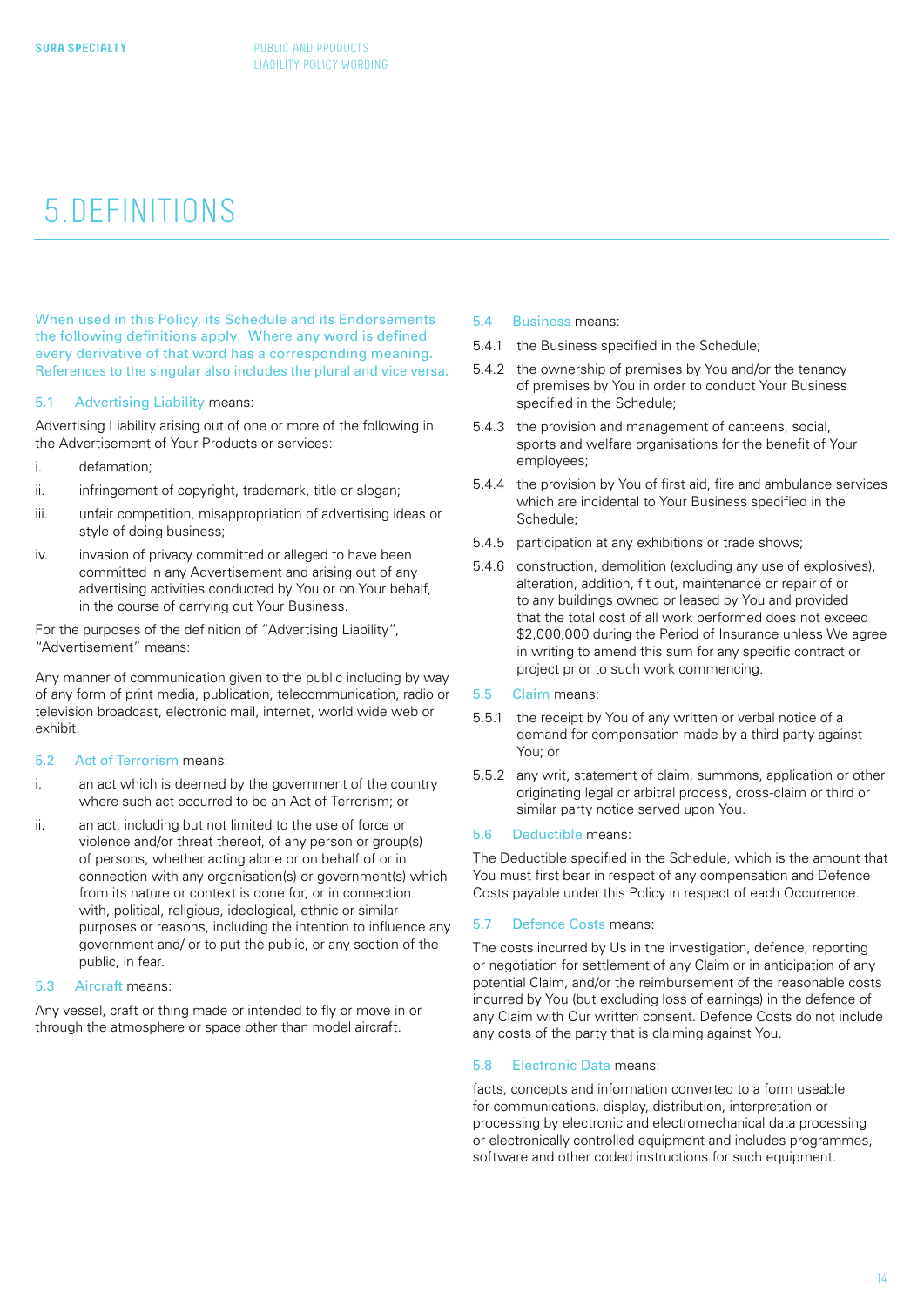# 5.DEFINITIONS

When used in this Policy, its Schedule and its Endorsements the following definitions apply. Where any word is defined every derivative of that word has a corresponding meaning. References to the singular also includes the plural and vice versa.

#### 5.1 Advertising Liability means:

Advertising Liability arising out of one or more of the following in the Advertisement of Your Products or services:

- i. defamation;
- ii. infringement of copyright, trademark, title or slogan;
- iii. unfair competition, misappropriation of advertising ideas or style of doing business;
- iv. invasion of privacy committed or alleged to have been committed in any Advertisement and arising out of any advertising activities conducted by You or on Your behalf, in the course of carrying out Your Business.

For the purposes of the definition of "Advertising Liability", "Advertisement" means:

Any manner of communication given to the public including by way of any form of print media, publication, telecommunication, radio or television broadcast, electronic mail, internet, world wide web or exhibit.

#### 5.2 Act of Terrorism means:

- i. an act which is deemed by the government of the country where such act occurred to be an Act of Terrorism; or
- ii. an act, including but not limited to the use of force or violence and/or threat thereof, of any person or group(s) of persons, whether acting alone or on behalf of or in connection with any organisation(s) or government(s) which from its nature or context is done for, or in connection with, political, religious, ideological, ethnic or similar purposes or reasons, including the intention to influence any government and/ or to put the public, or any section of the public, in fear.

#### 5.3 Aircraft means:

Any vessel, craft or thing made or intended to fly or move in or through the atmosphere or space other than model aircraft.

- 5.4 Business means:
- 5.4.1 the Business specified in the Schedule;
- 5.4.2 the ownership of premises by You and/or the tenancy of premises by You in order to conduct Your Business specified in the Schedule;
- 5.4.3 the provision and management of canteens, social, sports and welfare organisations for the benefit of Your employees;
- 5.4.4 the provision by You of first aid, fire and ambulance services which are incidental to Your Business specified in the Schedule;
- 5.4.5 participation at any exhibitions or trade shows;
- 5.4.6 construction, demolition (excluding any use of explosives), alteration, addition, fit out, maintenance or repair of or to any buildings owned or leased by You and provided that the total cost of all work performed does not exceed \$2,000,000 during the Period of Insurance unless We agree in writing to amend this sum for any specific contract or project prior to such work commencing.
- 5.5 Claim means:
- 5.5.1 the receipt by You of any written or verbal notice of a demand for compensation made by a third party against You; or
- 5.5.2 any writ, statement of claim, summons, application or other originating legal or arbitral process, cross-claim or third or similar party notice served upon You.

#### 5.6 Deductible means:

The Deductible specified in the Schedule, which is the amount that You must first bear in respect of any compensation and Defence Costs payable under this Policy in respect of each Occurrence.

#### 5.7 Defence Costs means:

The costs incurred by Us in the investigation, defence, reporting or negotiation for settlement of any Claim or in anticipation of any potential Claim, and/or the reimbursement of the reasonable costs incurred by You (but excluding loss of earnings) in the defence of any Claim with Our written consent. Defence Costs do not include any costs of the party that is claiming against You.

#### 5.8 Electronic Data means:

facts, concepts and information converted to a form useable for communications, display, distribution, interpretation or processing by electronic and electromechanical data processing or electronically controlled equipment and includes programmes, software and other coded instructions for such equipment.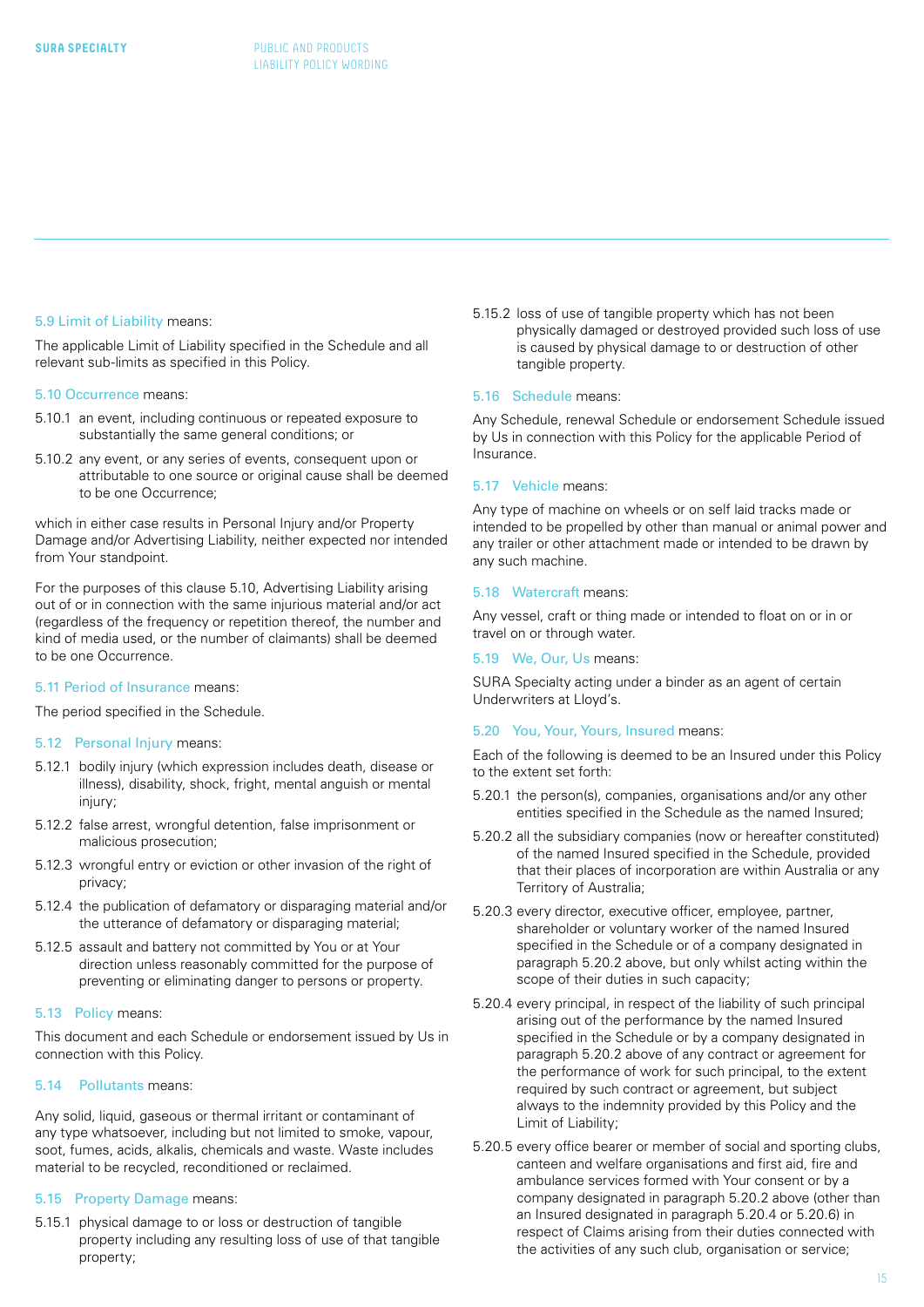#### 5.9 Limit of Liability means:

The applicable Limit of Liability specified in the Schedule and all relevant sub-limits as specified in this Policy.

#### 5.10 Occurrence means:

- 5.10.1 an event, including continuous or repeated exposure to substantially the same general conditions; or
- 5.10.2 any event, or any series of events, consequent upon or attributable to one source or original cause shall be deemed to be one Occurrence;

which in either case results in Personal Injury and/or Property Damage and/or Advertising Liability, neither expected nor intended from Your standpoint.

For the purposes of this clause 5.10, Advertising Liability arising out of or in connection with the same injurious material and/or act (regardless of the frequency or repetition thereof, the number and kind of media used, or the number of claimants) shall be deemed to be one Occurrence.

#### 5.11 Period of Insurance means:

The period specified in the Schedule.

#### 5.12 Personal Injury means:

- 5.12.1 bodily injury (which expression includes death, disease or illness), disability, shock, fright, mental anguish or mental injury;
- 5.12.2 false arrest, wrongful detention, false imprisonment or malicious prosecution;
- 5.12.3 wrongful entry or eviction or other invasion of the right of privacy;
- 5.12.4 the publication of defamatory or disparaging material and/or the utterance of defamatory or disparaging material;
- 5.12.5 assault and battery not committed by You or at Your direction unless reasonably committed for the purpose of preventing or eliminating danger to persons or property.

#### 5.13 Policy means:

This document and each Schedule or endorsement issued by Us in connection with this Policy.

#### 5.14 Pollutants means:

Any solid, liquid, gaseous or thermal irritant or contaminant of any type whatsoever, including but not limited to smoke, vapour, soot, fumes, acids, alkalis, chemicals and waste. Waste includes material to be recycled, reconditioned or reclaimed.

#### 5.15 Property Damage means:

5.15.1 physical damage to or loss or destruction of tangible property including any resulting loss of use of that tangible property;

5.15.2 loss of use of tangible property which has not been physically damaged or destroyed provided such loss of use is caused by physical damage to or destruction of other tangible property.

#### 5.16 Schedule means:

Any Schedule, renewal Schedule or endorsement Schedule issued by Us in connection with this Policy for the applicable Period of Insurance.

#### 5.17 Vehicle means:

Any type of machine on wheels or on self laid tracks made or intended to be propelled by other than manual or animal power and any trailer or other attachment made or intended to be drawn by any such machine.

#### 5.18 Watercraft means:

Any vessel, craft or thing made or intended to float on or in or travel on or through water.

#### 5.19 We, Our, Us means:

SURA Specialty acting under a binder as an agent of certain Underwriters at Lloyd's.

#### 5.20 You, Your, Yours, Insured means:

Each of the following is deemed to be an Insured under this Policy to the extent set forth:

- 5.20.1 the person(s), companies, organisations and/or any other entities specified in the Schedule as the named Insured;
- 5.20.2 all the subsidiary companies (now or hereafter constituted) of the named Insured specified in the Schedule, provided that their places of incorporation are within Australia or any Territory of Australia;
- 5.20.3 every director, executive officer, employee, partner, shareholder or voluntary worker of the named Insured specified in the Schedule or of a company designated in paragraph 5.20.2 above, but only whilst acting within the scope of their duties in such capacity;
- 5.20.4 every principal, in respect of the liability of such principal arising out of the performance by the named Insured specified in the Schedule or by a company designated in paragraph 5.20.2 above of any contract or agreement for the performance of work for such principal, to the extent required by such contract or agreement, but subject always to the indemnity provided by this Policy and the Limit of Liability;
- 5.20.5 every office bearer or member of social and sporting clubs, canteen and welfare organisations and first aid, fire and ambulance services formed with Your consent or by a company designated in paragraph 5.20.2 above (other than an Insured designated in paragraph 5.20.4 or 5.20.6) in respect of Claims arising from their duties connected with the activities of any such club, organisation or service;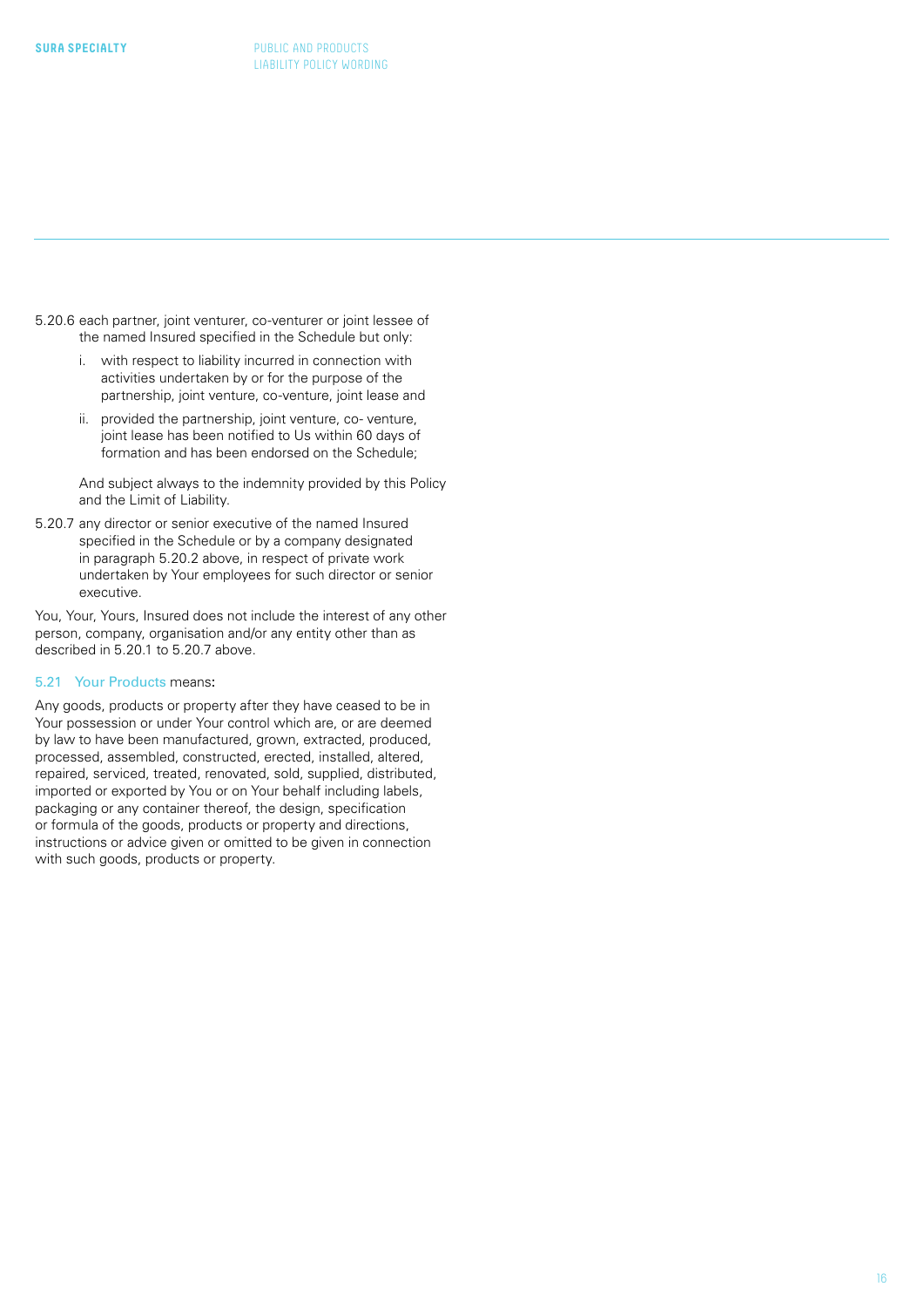- <span id="page-15-0"></span>5.20.6 each partner, joint venturer, co-venturer or joint lessee of the named Insured specified in the Schedule but only:
	- i. with respect to liability incurred in connection with activities undertaken by or for the purpose of the partnership, joint venture, co-venture, joint lease and
	- ii. provided the partnership, joint venture, co- venture, joint lease has been notified to Us within 60 days of formation and has been endorsed on the Schedule;

And subject always to the indemnity provided by this Policy and the Limit of Liability.

5.20.7 any director or senior executive of the named Insured specified in the Schedule or by a company designated in paragraph 5.20.2 above, in respect of private work undertaken by Your employees for such director or senior executive.

You, Your, Yours, Insured does not include the interest of any other person, company, organisation and/or any entity other than as described in 5.20.1 to 5.20.7 above.

#### 5.21 Your Products means:

Any goods, products or property after they have ceased to be in Your possession or under Your control which are, or are deemed by law to have been manufactured, grown, extracted, produced, processed, assembled, constructed, erected, installed, altered, repaired, serviced, treated, renovated, sold, supplied, distributed, imported or exported by You or on Your behalf including labels, packaging or any container thereof, the design, specification or formula of the goods, products or property and directions, instructions or advice given or omitted to be given in connection with such goods, products or property.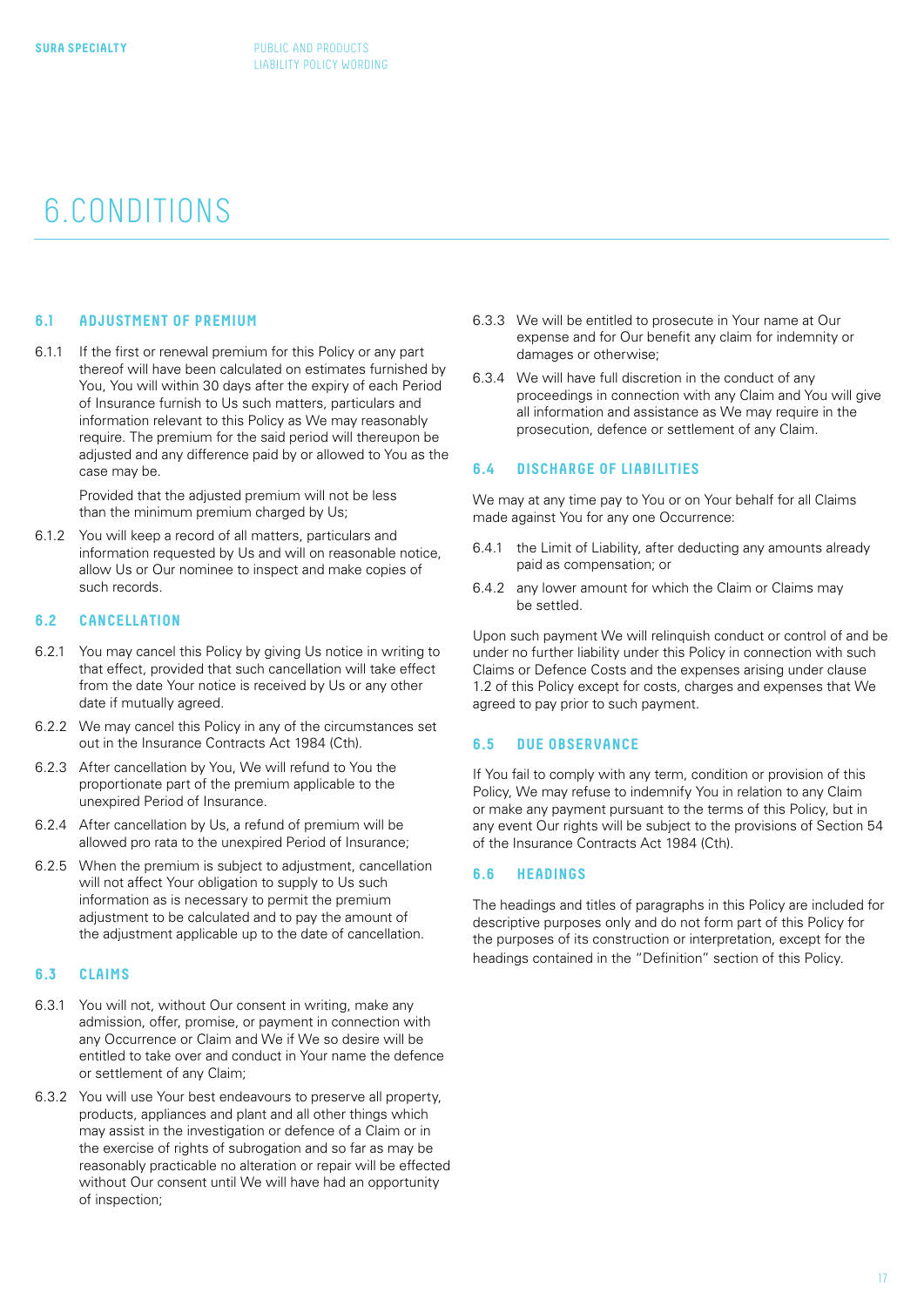## <span id="page-16-0"></span>6.CONDITIONS

#### **6.1 ADJUSTMENT OF PREMIUM**

6.1.1 If the first or renewal premium for this Policy or any part thereof will have been calculated on estimates furnished by You, You will within 30 days after the expiry of each Period of Insurance furnish to Us such matters, particulars and information relevant to this Policy as We may reasonably require. The premium for the said period will thereupon be adjusted and any difference paid by or allowed to You as the case may be.

> Provided that the adjusted premium will not be less than the minimum premium charged by Us;

6.1.2 You will keep a record of all matters, particulars and information requested by Us and will on reasonable notice, allow Us or Our nominee to inspect and make copies of such records.

#### **6.2 CANCELLATION**

- 6.2.1 You may cancel this Policy by giving Us notice in writing to that effect, provided that such cancellation will take effect from the date Your notice is received by Us or any other date if mutually agreed.
- 6.2.2 We may cancel this Policy in any of the circumstances set out in the Insurance Contracts Act 1984 (Cth).
- 6.2.3 After cancellation by You, We will refund to You the proportionate part of the premium applicable to the unexpired Period of Insurance.
- 6.2.4 After cancellation by Us, a refund of premium will be allowed pro rata to the unexpired Period of Insurance;
- 6.2.5 When the premium is subject to adjustment, cancellation will not affect Your obligation to supply to Us such information as is necessary to permit the premium adjustment to be calculated and to pay the amount of the adjustment applicable up to the date of cancellation.

#### **6.3 CLAIMS**

- 6.3.1 You will not, without Our consent in writing, make any admission, offer, promise, or payment in connection with any Occurrence or Claim and We if We so desire will be entitled to take over and conduct in Your name the defence or settlement of any Claim;
- 6.3.2 You will use Your best endeavours to preserve all property, products, appliances and plant and all other things which may assist in the investigation or defence of a Claim or in the exercise of rights of subrogation and so far as may be reasonably practicable no alteration or repair will be effected without Our consent until We will have had an opportunity of inspection;
- 6.3.3 We will be entitled to prosecute in Your name at Our expense and for Our benefit any claim for indemnity or damages or otherwise;
- 6.3.4 We will have full discretion in the conduct of any proceedings in connection with any Claim and You will give all information and assistance as We may require in the prosecution, defence or settlement of any Claim.

#### **6.4 DISCHARGE OF LIABILITIES**

We may at any time pay to You or on Your behalf for all Claims made against You for any one Occurrence:

- 6.4.1 the Limit of Liability, after deducting any amounts already paid as compensation; or
- 6.4.2 any lower amount for which the Claim or Claims may be settled.

Upon such payment We will relinquish conduct or control of and be under no further liability under this Policy in connection with such Claims or Defence Costs and the expenses arising under clause 1.2 of this Policy except for costs, charges and expenses that We agreed to pay prior to such payment.

#### **6.5 DUE OBSERVANCE**

If You fail to comply with any term, condition or provision of this Policy, We may refuse to indemnify You in relation to any Claim or make any payment pursuant to the terms of this Policy, but in any event Our rights will be subject to the provisions of Section 54 of the Insurance Contracts Act 1984 (Cth).

#### **6.6 HEADINGS**

The headings and titles of paragraphs in this Policy are included for descriptive purposes only and do not form part of this Policy for the purposes of its construction or interpretation, except for the headings contained in the "Definition" section of this Policy.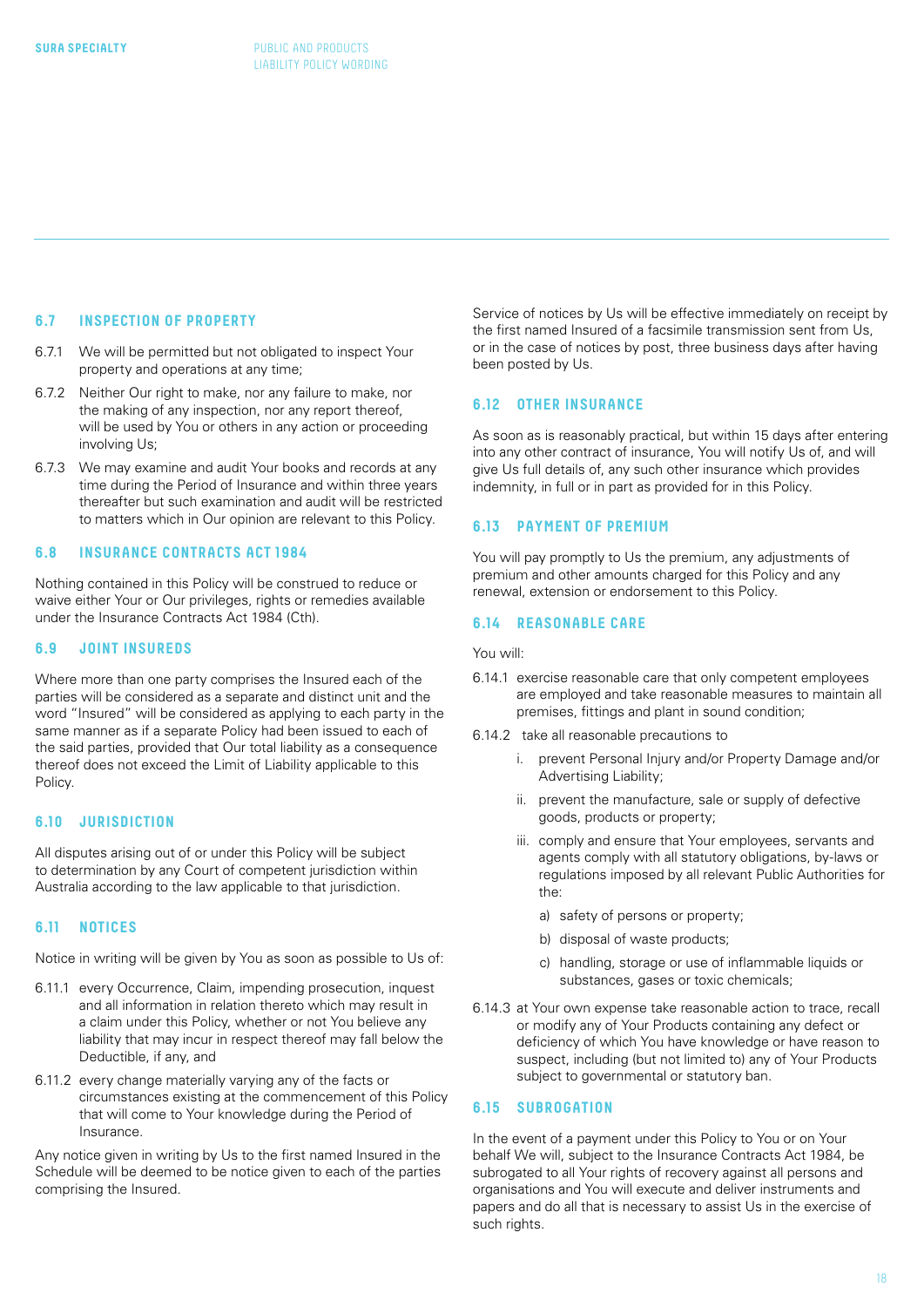#### <span id="page-17-0"></span>**6.7 INSPECTION OF PROPERTY**

- 6.7.1 We will be permitted but not obligated to inspect Your property and operations at any time;
- 6.7.2 Neither Our right to make, nor any failure to make, nor the making of any inspection, nor any report thereof, will be used by You or others in any action or proceeding involving Us;
- 6.7.3 We may examine and audit Your books and records at any time during the Period of Insurance and within three years thereafter but such examination and audit will be restricted to matters which in Our opinion are relevant to this Policy.

#### **6.8 INSURANCE CONTRACTS ACT 1984**

Nothing contained in this Policy will be construed to reduce or waive either Your or Our privileges, rights or remedies available under the Insurance Contracts Act 1984 (Cth).

#### **6.9 JOINT INSUREDS**

Where more than one party comprises the Insured each of the parties will be considered as a separate and distinct unit and the word "Insured" will be considered as applying to each party in the same manner as if a separate Policy had been issued to each of the said parties, provided that Our total liability as a consequence thereof does not exceed the Limit of Liability applicable to this Policy.

#### **6.10 JURISDICTION**

All disputes arising out of or under this Policy will be subject to determination by any Court of competent jurisdiction within Australia according to the law applicable to that jurisdiction.

#### **6.11 NOTICES**

Notice in writing will be given by You as soon as possible to Us of:

- 6.11.1 every Occurrence, Claim, impending prosecution, inquest and all information in relation thereto which may result in a claim under this Policy, whether or not You believe any liability that may incur in respect thereof may fall below the Deductible, if any, and
- 6.11.2 every change materially varying any of the facts or circumstances existing at the commencement of this Policy that will come to Your knowledge during the Period of Insurance.

Any notice given in writing by Us to the first named Insured in the Schedule will be deemed to be notice given to each of the parties comprising the Insured.

Service of notices by Us will be effective immediately on receipt by the first named Insured of a facsimile transmission sent from Us, or in the case of notices by post, three business days after having been posted by Us.

#### **6.12 OTHER INSURANCE**

As soon as is reasonably practical, but within 15 days after entering into any other contract of insurance, You will notify Us of, and will give Us full details of, any such other insurance which provides indemnity, in full or in part as provided for in this Policy.

#### **6.13 PAYMENT OF PREMIUM**

You will pay promptly to Us the premium, any adjustments of premium and other amounts charged for this Policy and any renewal, extension or endorsement to this Policy.

#### **6.14 REASONABLE CARE**

You will:

- 6.14.1 exercise reasonable care that only competent employees are employed and take reasonable measures to maintain all premises, fittings and plant in sound condition;
- 6.14.2 take all reasonable precautions to
	- i. prevent Personal Injury and/or Property Damage and/or Advertising Liability;
	- ii. prevent the manufacture, sale or supply of defective goods, products or property;
	- iii. comply and ensure that Your employees, servants and agents comply with all statutory obligations, by-laws or regulations imposed by all relevant Public Authorities for the:
		- a) safety of persons or property;
		- b) disposal of waste products;
		- c) handling, storage or use of inflammable liquids or substances, gases or toxic chemicals;
- 6.14.3 at Your own expense take reasonable action to trace, recall or modify any of Your Products containing any defect or deficiency of which You have knowledge or have reason to suspect, including (but not limited to) any of Your Products subject to governmental or statutory ban.

#### **6.15 SUBROGATION**

In the event of a payment under this Policy to You or on Your behalf We will, subject to the Insurance Contracts Act 1984, be subrogated to all Your rights of recovery against all persons and organisations and You will execute and deliver instruments and papers and do all that is necessary to assist Us in the exercise of such rights.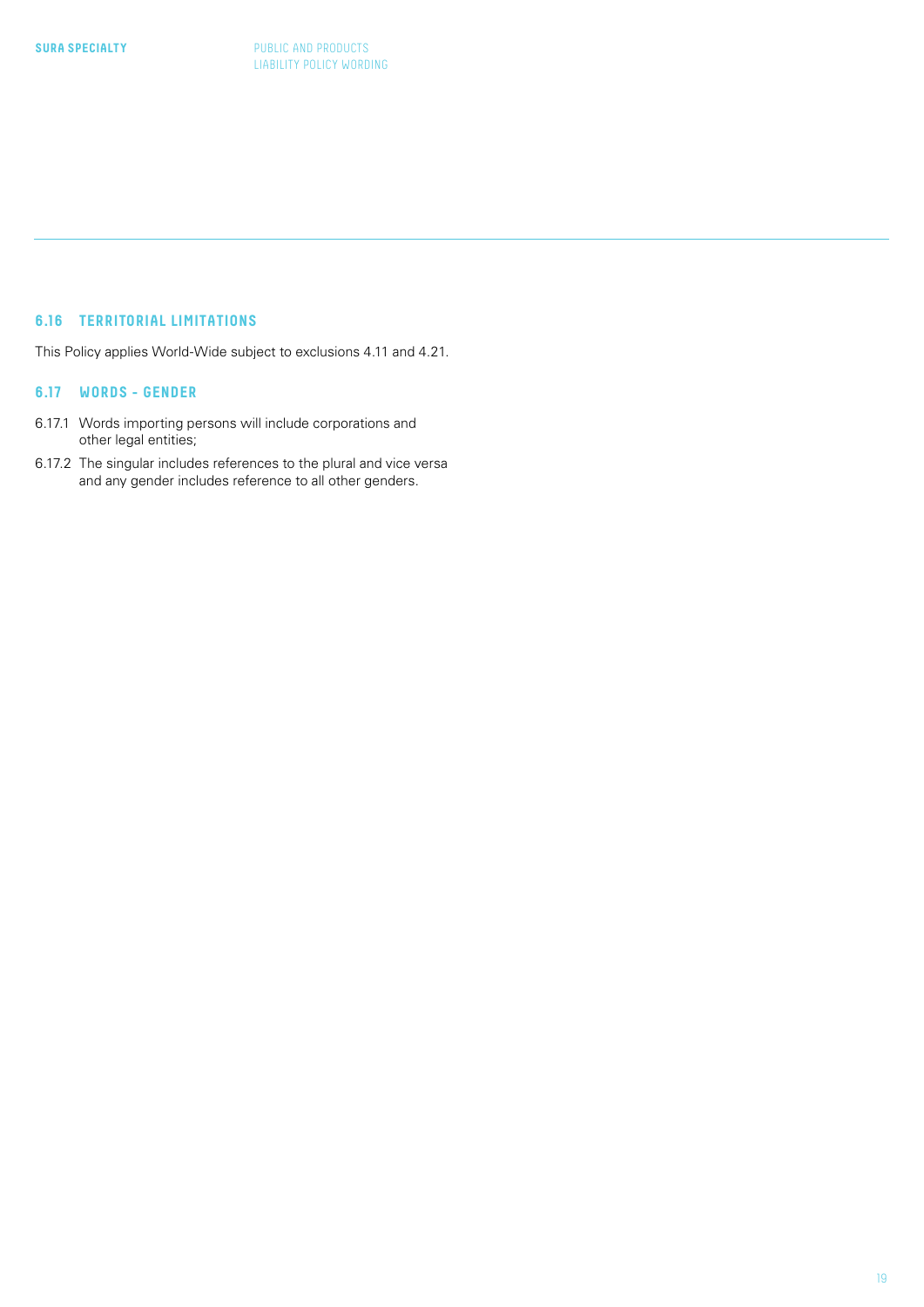### **6.16 TERRITORIAL LIMITATIONS**

This Policy applies World-Wide subject to exclusions 4.11 and 4.21.

#### **6.17 WORDS - GENDER**

- 6.17.1 Words importing persons will include corporations and other legal entities;
- 6.17.2 The singular includes references to the plural and vice versa and any gender includes reference to all other genders.